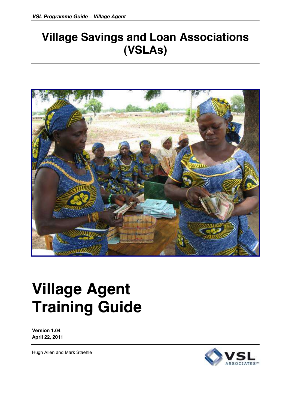## **Village Savings and Loan Associations (VSLAs)**



# **Village Agent Training Guide**

**Version 1.04 April 22, 2011**

Hugh Allen and Mark Staehle

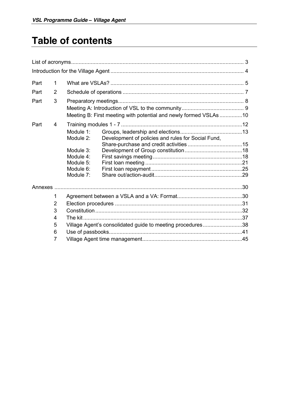## **Table of contents**

| Part | 1              |           |                                                                   |  |
|------|----------------|-----------|-------------------------------------------------------------------|--|
| Part | $\overline{2}$ |           |                                                                   |  |
| Part | 3              |           |                                                                   |  |
|      |                |           |                                                                   |  |
|      |                |           | Meeting B: First meeting with potential and newly formed VSLAs 10 |  |
| Part | 4              |           |                                                                   |  |
|      |                | Module 1: |                                                                   |  |
|      |                | Module 2: | Development of policies and rules for Social Fund,                |  |
|      |                |           |                                                                   |  |
|      |                | Module 3: |                                                                   |  |
|      |                | Module 4: |                                                                   |  |
|      |                | Module 5: |                                                                   |  |
|      |                | Module 6: |                                                                   |  |
|      |                | Module 7: |                                                                   |  |
|      |                |           |                                                                   |  |
|      | 1              |           |                                                                   |  |
|      | $\overline{2}$ |           |                                                                   |  |
|      | 3              |           |                                                                   |  |
|      | 4              |           |                                                                   |  |
|      | 5              |           | Village Agent's consolidated guide to meeting procedures38        |  |
|      | 6              |           |                                                                   |  |
|      | 7              |           |                                                                   |  |
|      |                |           |                                                                   |  |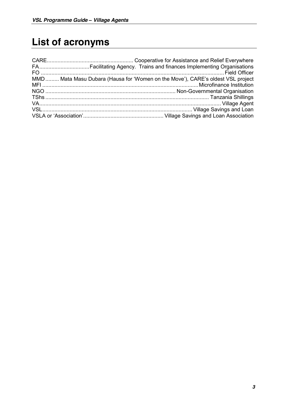## **List of acronyms**

| MMD Mata Masu Dubara (Hausa for 'Women on the Move'), CARE's oldest VSL project |
|---------------------------------------------------------------------------------|
|                                                                                 |
|                                                                                 |
|                                                                                 |
|                                                                                 |
|                                                                                 |
|                                                                                 |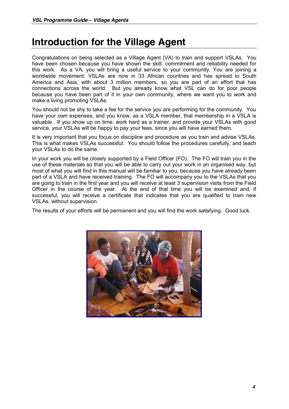## **Introduction for the Village Agent**

Congratulations on being selected as a Village Agent (VA) to train and support VSLAs. You have been chosen because you have shown the skill, commitment and reliability needed for this work. As a VA, you will bring a useful service to your community. You are joining a worldwide movement: VSLAs are now in 33 African countries and has spread to South America and Asia, with about 3 million members, so you are part of an effort that has connections across the world. But you already know what VSL can do for poor people because you have been part of it in your own community, where we want you to work and make a living promoting VSLAs.

You should not be shy to take a fee for the service you are performing for the community. You have your own expenses, and you know, as a VSLA member, that membership in a VSLA is valuable. If you show up on time, work hard as a trainer, and provide your VSLAs with good service, your VSLAs will be happy to pay your fees, since you will have earned them.

It is very important that you focus on discipline and procedure as you train and advise VSLAs. This is what makes VSLAs successful. You should follow the procedures carefully, and teach your VSLAs to do the same.

In your work you will be closely supported by a Field Officer (FO). The FO will train you in the use of these materials so that you will be able to carry out your work in an organised way, but most of what you will find in this manual will be familiar to you, because you have already been part of a VSLA and have received training. The FO will accompany you to the VSLAs that you are going to train in the first year and you will receive at least 3 supervision visits from the Field Officer in the course of the year. At the end of that time you will be examined and, if successful, you will receive a certificate that indicates that you are qualified to train new VSLAs, without supervision.

The results of your efforts will be permanent and you will find the work satisfying. Good luck.

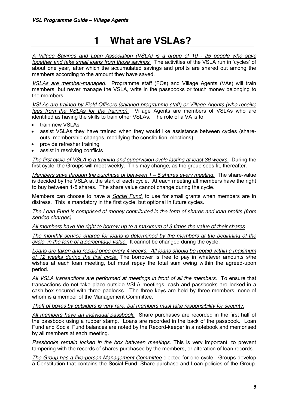## **1 What are VSLAs?**

*A Village Savings and Loan Association (VSLA) is a group of 10 - 25 people who save together and take small loans from those savings.* The activities of the VSLA run in 'cycles' of about one year, after which the accumulated savings and profits are shared out among the members according to the amount they have saved.

*VSLAs are member-managed*. Programme staff (FOs) and Village Agents (VAs) will train members, but never manage the VSLA, write in the passbooks or touch money belonging to the members.

*VSLAs are trained by Field Officers (salaried programme staff) or Village Agents (who receive fees from the VSLAs for the training).* Village Agents are members of VSLAs who are identified as having the skills to train other VSLAs. The role of a VA is to:

- train new VSLAs
- assist VSLAs they have trained when they would like assistance between cycles (shareouts, membership changes, modifying the constitution, elections)
- provide refresher training
- assist in resolving conflicts

*The first cycle of VSLA is a training and supervision cycle lasting at least 36 weeks.* During the first cycle, the Groups will meet weekly. This may change, as the group sees fit, thereafter.

*Members save through the purchase of between 1 – 5 shares every meeting.* The share-value is decided by the VSLA at the start of each cycle. At each meeting all members have the right to buy between 1-5 shares. The share value cannot change during the cycle.

Members can choose to have a *Social Fund,* to use for small grants when members are in distress. This is mandatory in the first cycle, but optional in future cycles.

*The Loan Fund is comprised of money contributed in the form of shares and loan profits (from service charges).*

*All members have the right to borrow up to a maximum of 3 times the value of their shares*

*The monthly service charge for loans is determined by the members at the beginning of the cycle, in the form of a percentage value.* It cannot be changed during the cycle.

*Loans are taken and repaid once every 4 weeks. All loans should be repaid within a maximum of 12 weeks during the first cycle.* The borrower is free to pay in whatever amounts s/he wishes at each loan meeting, but must repay the total sum owing within the agreed-upon period.

*All VSLA transactions are performed at meetings in front of all the members.* To ensure that transactions do not take place outside VSLA meetings, cash and passbooks are locked in a cash-box secured with three padlocks. The three keys are held by three members, none of whom is a member of the Management Committee.

*Theft of boxes by outsiders is very rare, but members must take responsibility for security.*

*All members have an individual passbook.* Share purchases are recorded in the first half of the passbook using a rubber stamp. Loans are recorded in the back of the passbook. Loan Fund and Social Fund balances are noted by the Record-keeper in a notebook and memorised by all members at each meeting.

*Passbooks remain locked in the box between meetings.* This is very important, to prevent tampering with the records of shares purchased by the members, or alteration of loan records.

*The Group has a five-person Management Committee* elected for one cycle. Groups develop a Constitution that contains the Social Fund, Share-purchase and Loan policies of the Group.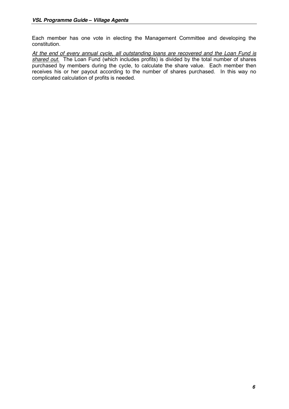Each member has one vote in electing the Management Committee and developing the constitution.

*At the end of every annual cycle, all outstanding loans are recovered and the Loan Fund is shared out*. The Loan Fund (which includes profits) is divided by the total number of shares purchased by members during the cycle, to calculate the share value. Each member then receives his or her payout according to the number of shares purchased. In this way no complicated calculation of profits is needed.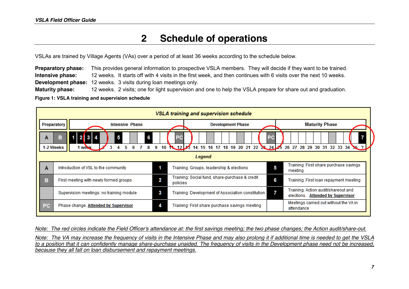## **2 Schedule of operations**

VSLAs are trained by Village Agents (VAs) over a period of at least 36 weeks according to the schedule below.

**Preparatory phase:** This provides general information to prospective VSLA members. They will decide if they want to be trained. **Intensive phase:** 12 weeks. It starts off with 4 visits in the first week, and then continues with 6 visits over the next 10 weeks. **Development phase:** 12 weeks. 3 visits during loan meetings only. **Maturity phase:** 12 weeks. 2 visits; one for light supervision and one to help the VSLA prepare for share out and graduation.

**Figure 1: VSLA training and supervision schedule**



*Note: The red circles indicate the Field Officer's attendance at: the first savings meeting; the two phase changes; the Action audit/share-out. Note: The VA may increase the frequency of visits in the Intensive Phase and may also prolong it if additional time is needed to get the VSLA to a position that it can confidently manage share-purchase unaided. The frequency of visits in the Development phase need not be increased, because they all fall on loan disbursement and repayment meetings.*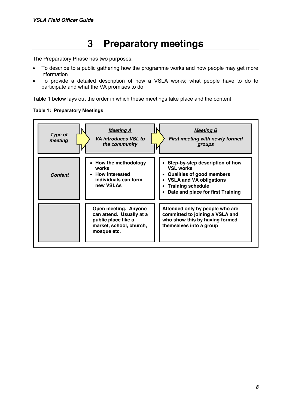## **3 Preparatory meetings**

The Preparatory Phase has two purposes:

- To describe to a public gathering how the programme works and how people may get more information
- To provide a detailed description of how a VSLA works; what people have to do to participate and what the VA promises to do

Table 1 below lays out the order in which these meetings take place and the content



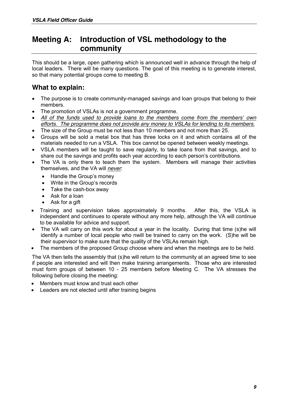## **Meeting A: Introduction of VSL methodology to the community**

This should be a large, open gathering which is announced well in advance through the help of local leaders. There will be many questions. The goal of this meeting is to generate interest, so that many potential groups come to meeting B.

### **What to explain:**

- The purpose is to create community-managed savings and loan groups that belong to their members.
- The promotion of VSLAs is not a government programme.
- All of the funds used to provide loans to the members come from the members' own *efforts. The programme does not provide any money to VSLAs for lending to its members.*
- The size of the Group must be not less than 10 members and not more than 25.
- Groups will be sold a metal box that has three locks on it and which contains all of the materials needed to run a VSLA. This box cannot be opened between weekly meetings.
- x VSLA members will be taught to save regularly, to take loans from that savings, and to share out the savings and profits each year according to each person's contributions.
- The VA is only there to teach them the system. Members will manage their activities themselves, and the VA will *never*:
	- $\bullet$  Handle the Group's money
	- $\bullet$  Write in the Group's records
	- Take the cash-box away
	- Ask for a loan
	- Ask for a gift
- Training and supervision takes approximately 9 months. After this, the VSLA is independent and continues to operate without any more help, although the VA will continue to be available for advice and support.
- The VA will carry on this work for about a year in the locality. During that time (s)he will identify a number of local people who nwill be trained to carry on the work. (S)he will be their supervisor to make sure that the quality of the VSLAs remain high.
- The members of the proposed Group choose where and when the meetings are to be held.

The VA then tells the assembly that (s)he will return to the community at an agreed time to see if people are interested and will then make training arrangements. Those who are interested must form groups of between 10 - 25 members before Meeting C. The VA stresses the following before closing the meeting:

- Members must know and trust each other
- Leaders are not elected until after training begins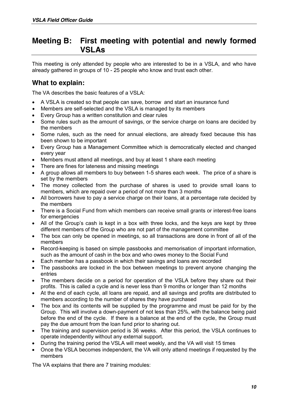### **Meeting B: First meeting with potential and newly formed VSLAs**

This meeting is only attended by people who are interested to be in a VSLA, and who have already gathered in groups of 10 - 25 people who know and trust each other.

### **What to explain:**

The VA describes the basic features of a VSLA:

- A VSLA is created so that people can save, borrow and start an insurance fund
- Members are self-selected and the VSLA is managed by its members
- Every Group has a written constitution and clear rules
- Some rules such as the amount of savings, or the service charge on loans are decided by the members
- Some rules, such as the need for annual elections, are already fixed because this has been shown to be important
- Every Group has a Management Committee which is democratically elected and changed every year
- Members must attend all meetings, and buy at least 1 share each meeting
- There are fines for lateness and missing meetings
- x A group allows all members to buy between 1-5 shares each week. The price of a share is set by the members
- The money collected from the purchase of shares is used to provide small loans to members, which are repaid over a period of not more than 3 months
- All borrowers have to pay a service charge on their loans, at a percentage rate decided by the members
- x There is a Social Fund from which members can receive small grants or interest-free loans for emergencies
- All of the Group's cash is kept in a box with three locks, and the keys are kept by three different members of the Group who are not part of the management committee
- The box can only be opened in meetings, so all transactions are done in front of all of the members
- Record-keeping is based on simple passbooks and memorisation of important information, such as the amount of cash in the box and who owes money to the Social Fund
- Each member has a passbook in which their savings and loans are recorded
- The passbooks are locked in the box between meetings to prevent anyone changing the entries
- The members decide on a period for operation of the VSLA before they share out their profits. This is called a cycle and is never less than 9 months or longer than 12 months
- x At the end of each cycle, all loans are repaid, and all savings and profits are distributed to members according to the number of shares they have purchased
- The box and its contents will be supplied by the programme and must be paid for by the Group. This will involve a down-payment of not less than 25%, with the balance being paid before the end of the cycle. If there is a balance at the end of the cycle, the Group must pay the due amount from the loan fund prior to sharing out.
- The training and supervision period is 36 weeks. After this period, the VSLA continues to operate independently without any external support.
- During the training period the VSLA will meet weekly, and the VA will visit 15 times
- Once the VSLA becomes independent, the VA will only attend meetings if requested by the members

The VA explains that there are 7 training modules: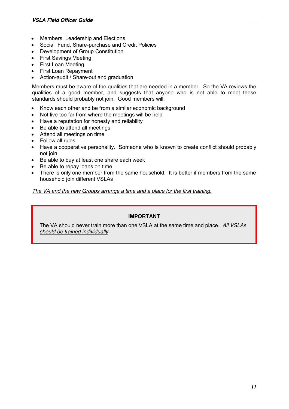- Members, Leadership and Elections
- Social Fund, Share-purchase and Credit Policies
- Development of Group Constitution
- $\bullet$  First Savings Meeting
- First Loan Meeting
- First Loan Repayment
- Action-audit / Share-out and graduation

Members must be aware of the qualities that are needed in a member. So the VA reviews the qualities of a good member, and suggests that anyone who is not able to meet these standards should probably not join. Good members will:

- Know each other and be from a similar economic background
- Not live too far from where the meetings will be held
- Have a reputation for honesty and reliability
- Be able to attend all meetings
- Attend all meetings on time
- Follow all rules
- Have a cooperative personality. Someone who is known to create conflict should probably not join
- Be able to buy at least one share each week
- Be able to repay loans on time
- There is only one member from the same household. It is better if members from the same household join different VSLAs

#### *The VA and the new Groups arrange a time and a place for the first training.*

#### **IMPORTANT**

The VA should never train more than one VSLA at the same time and place. *All VSLAs should be trained individually*.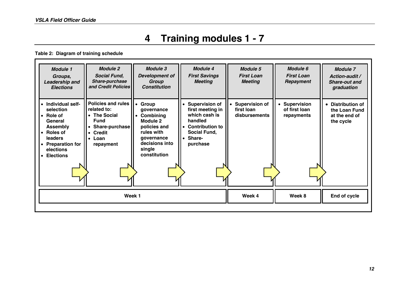## **4 Training modules 1 - 7**

**Table 2: Diagram of training schedule**

| <b>Module 1</b><br>Groups,<br>Leadership and<br><b>Elections</b>                                                                                                                                                   | <b>Module 2</b><br><b>Social Fund,</b><br><b>Share-purchase</b><br>and Credit Policies                                                        | <b>Module 3</b><br><b>Development of</b><br>Group<br><b>Constitution</b>                                                                          | <b>Module 4</b><br><b>First Savings</b><br><b>Meeting</b>                                                                          | <b>Module 5</b><br><b>First Loan</b><br><b>Meeting</b> | Module 6<br><b>First Loan</b><br>Repayment   | <b>Module 7</b><br>Action-audit /<br><b>Share-out and</b><br>graduation |
|--------------------------------------------------------------------------------------------------------------------------------------------------------------------------------------------------------------------|-----------------------------------------------------------------------------------------------------------------------------------------------|---------------------------------------------------------------------------------------------------------------------------------------------------|------------------------------------------------------------------------------------------------------------------------------------|--------------------------------------------------------|----------------------------------------------|-------------------------------------------------------------------------|
| • Individual self-<br>selection<br>$\bullet$ Role of<br>General<br><b>Assembly</b><br><b>Roles of</b><br>$\bullet$<br>leaders<br><b>Preparation for</b><br>$\bullet$<br>elections<br><b>Elections</b><br>$\bullet$ | <b>Policies and rules</b><br>related to:<br><b>The Social</b><br><b>Fund</b><br>• Share-purchase  <br>• Credit<br>$\bullet$ Loan<br>repayment | Group<br>qovernance<br>Combining<br>$\bullet$<br>Module 2<br>policies and<br>rules with<br>qovernance<br>decisions into<br>single<br>constitution | <b>Supervision of</b><br>first meeting in<br>which cash is<br>handled<br>• Contribution to<br>Social Fund,<br>• Share-<br>purchase | <b>Supervision of</b><br>first Ioan<br>disbursements   | • Supervision<br>of first loan<br>repayments | • Distribution of<br>the Loan Fund<br>at the end of<br>the cycle        |
|                                                                                                                                                                                                                    | Week 1                                                                                                                                        |                                                                                                                                                   |                                                                                                                                    | Week 4                                                 | Week 8                                       | End of cycle                                                            |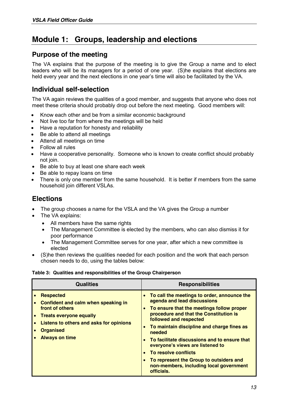## **Module 1: Groups, leadership and elections**

#### **Purpose of the meeting**

The VA explains that the purpose of the meeting is to give the Group a name and to elect leaders who will be its managers for a period of one year. (S)he explains that elections are held every year and the next elections in one year's time will also be facilitated by the VA.

### **Individual self-selection**

The VA again reviews the qualities of a good member, and suggests that anyone who does not meet these criteria should probably drop out before the next meeting. Good members will:

- Know each other and be from a similar economic background
- Not live too far from where the meetings will be held
- Have a reputation for honesty and reliability
- Be able to attend all meetings
- Attend all meetings on time
- x Follow all rules
- Have a cooperative personality. Someone who is known to create conflict should probably not join.
- Be able to buy at least one share each week
- Be able to repay loans on time
- There is only one member from the same household. It is better if members from the same household join different VSLAs.

### **Elections**

- The group chooses a name for the VSLA and the VA gives the Group a number
- The VA explains:
	- All members have the same rights
	- The Management Committee is elected by the members, who can also dismiss it for poor performance
	- The Management Committee serves for one year, after which a new committee is elected
- (S)he then reviews the qualities needed for each position and the work that each person chosen needs to do, using the tables below:

#### **Table 3: Qualities and responsibilities of the Group Chairperson**

| <b>Qualities</b>                                                                                                                                                                                     | <b>Responsibilities</b>                                                                                                                                                                                                                                                                                                                                                                                                                                                                                                              |
|------------------------------------------------------------------------------------------------------------------------------------------------------------------------------------------------------|--------------------------------------------------------------------------------------------------------------------------------------------------------------------------------------------------------------------------------------------------------------------------------------------------------------------------------------------------------------------------------------------------------------------------------------------------------------------------------------------------------------------------------------|
| <b>Respected</b><br>Confident and calm when speaking in<br>front of others<br><b>Treats everyone equally</b><br>Listens to others and asks for opinions<br><b>Organised</b><br><b>Always on time</b> | To call the meetings to order, announce the<br>agenda and lead discussions<br>To ensure that the meetings follow proper<br>$\bullet$<br>procedure and that the Constitution is<br>followed and respected<br>To maintain discipline and charge fines as<br>$\bullet$<br>needed<br>To facilitate discussions and to ensure that<br>$\bullet$<br>everyone's views are listened to<br>To resolve conflicts<br>$\bullet$<br>To represent the Group to outsiders and<br>$\bullet$<br>non-members, including local government<br>officials. |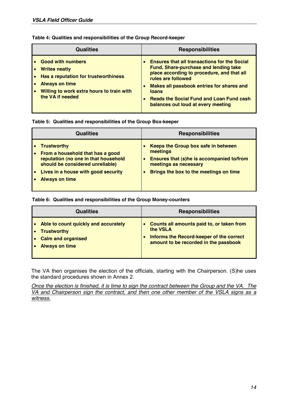| Table 4: Qualities and responsibilities of the Group Record-keeper |  |
|--------------------------------------------------------------------|--|
|--------------------------------------------------------------------|--|

| <b>Qualities</b>                                                                                                                                                              | <b>Responsibilities</b>                                                                                                                                                                                                                                                                                                |  |
|-------------------------------------------------------------------------------------------------------------------------------------------------------------------------------|------------------------------------------------------------------------------------------------------------------------------------------------------------------------------------------------------------------------------------------------------------------------------------------------------------------------|--|
| • Good with numbers<br><b>Writes neatly</b><br>Has a reputation for trustworthiness<br><b>Always on time</b><br>Willing to work extra hours to train with<br>the VA if needed | <b>Ensures that all transactions for the Social</b><br><b>Fund, Share-purchase and lending take</b><br>place according to procedure, and that all<br>rules are followed<br>Makes all passbook entries for shares and<br>loans<br><b>Reads the Social Fund and Loan Fund cash</b><br>balances out loud at every meeting |  |

#### **Table 5: Qualities and responsibilities of the Group Box-keeper**

| Qualities |                                                                                                                                                                                                    | <b>Responsibilities</b>                                                                                                                                         |
|-----------|----------------------------------------------------------------------------------------------------------------------------------------------------------------------------------------------------|-----------------------------------------------------------------------------------------------------------------------------------------------------------------|
|           | <b>Trustworthy</b><br>From a household that has a good<br>reputation (no one in that household<br>should be considered unreliable)<br>Lives in a house with good security<br><b>Always on time</b> | Keeps the Group box safe in between<br>meetings<br>Ensures that (s)he is accompanied to/from<br>meetings as necessary<br>Brings the box to the meetings on time |

#### **Table 6: Qualities and responsibilities of the Group Money-counters**

| <b>Qualities</b>                                                                                                 | <b>Responsibilities</b>                                                                                                                                        |
|------------------------------------------------------------------------------------------------------------------|----------------------------------------------------------------------------------------------------------------------------------------------------------------|
| Able to count quickly and accurately<br><b>Trustworthy</b><br><b>Calm and organised</b><br><b>Always on time</b> | Counts all amounts paid to, or taken from<br>the <b>VSLA</b><br>Informs the Record-keeper of the correct<br>$\bullet$<br>amount to be recorded in the passbook |

The VA then organises the election of the officials, starting with the Chairperson. (S)he uses the standard procedures shown in Annex 2.

*Once the election is finished, it is time to sign the contract between the Group and the VA. The VA and Chairperson sign the contract, and then one other member of the VSLA signs as a witness.*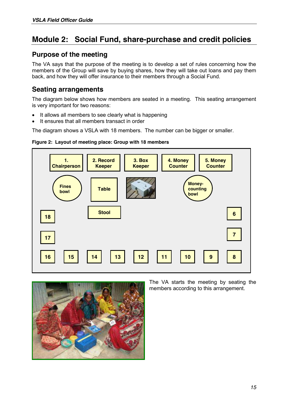## **Module 2: Social Fund, share-purchase and credit policies**

#### **Purpose of the meeting**

The VA says that the purpose of the meeting is to develop a set of rules concerning how the members of the Group will save by buying shares, how they will take out loans and pay them back, and how they will offer insurance to their members through a Social Fund.

#### **Seating arrangements**

The diagram below shows how members are seated in a meeting. This seating arrangement is very important for two reasons:

- It allows all members to see clearly what is happening
- It ensures that all members transact in order

The diagram shows a VSLA with 18 members. The number can be bigger or smaller.







The VA starts the meeting by seating the members according to this arrangement.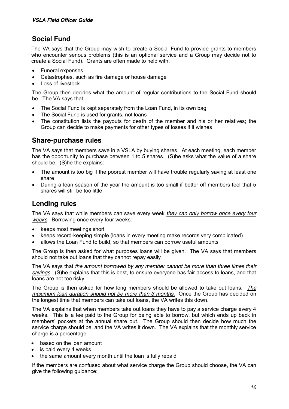### **Social Fund**

The VA says that the Group may wish to create a Social Fund to provide grants to members who encounter serious problems (this is an optional service and a Group may decide not to create a Social Fund). Grants are often made to help with:

- Funeral expenses
- Catastrophes, such as fire damage or house damage
- x Loss of livestock

The Group then decides what the amount of regular contributions to the Social Fund should be. The VA says that:

- The Social Fund is kept separately from the Loan Fund, in its own bag
- The Social Fund is used for grants, not loans
- The constitution lists the payouts for death of the member and his or her relatives; the Group can decide to make payments for other types of losses if it wishes

#### **Share-purchase rules**

The VA says that members save in a VSLA by buying shares. At each meeting, each member has the opportunity to purchase between 1 to 5 shares. (S)he asks what the value of a share should be. (S)he the explains:

- The amount is too big if the poorest member will have trouble regularly saving at least one share
- During a lean season of the year the amount is too small if better off members feel that 5 shares will still be too little

#### **Lending rules**

The VA says that while members can save every week *they can only borrow once every four weeks*. Borrowing once every four weeks:

- keeps most meetings short
- x keeps record-keeping simple (loans in every meeting make records very complicated)
- allows the Loan Fund to build, so that members can borrow useful amounts

The Group is then asked for what purposes loans will be given. The VA says that members should not take out loans that they cannot repay easily

The VA says that *the amount borrowed by any member cannot be more than three times their savings*. (S)he explains that this is best, to ensure everyone has fair access to loans, and that loans are not too risky.

The Group is then asked for how long members should be allowed to take out loans. *The maximum loan duration should not be more than 3 months.* Once the Group has decided on the longest time that members can take out loans, the VA writes this down.

The VA explains that when members take out loans they have to pay a service charge every 4 weeks. This is a fee paid to the Group for being able to borrow, but which ends up back in members' pockets at the annual share out. The Group should then decide how much the service charge should be, and the VA writes it down. The VA explains that the monthly service charge is a percentage:

- based on the loan amount
- is paid every 4 weeks
- the same amount every month until the loan is fully repaid

If the members are confused about what service charge the Group should choose, the VA can give the following guidance: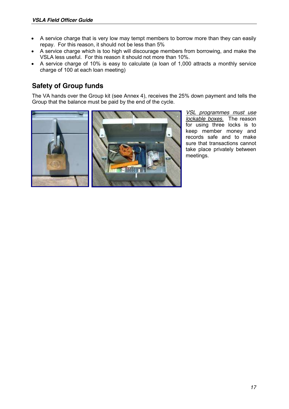- A service charge that is very low may tempt members to borrow more than they can easily repay. For this reason, it should not be less than 5%
- A service charge which is too high will discourage members from borrowing, and make the VSLA less useful. For this reason it should not more than 10%.
- x A service charge of 10% is easy to calculate (a loan of 1,000 attracts a monthly service charge of 100 at each loan meeting)

### **Safety of Group funds**

The VA hands over the Group kit (see Annex 4), receives the 25% down payment and tells the Group that the balance must be paid by the end of the cycle.



*VSL programmes must use lockable boxes.* The reason for using three locks is to keep member money and records safe and to make sure that transactions cannot take place privately between meetings.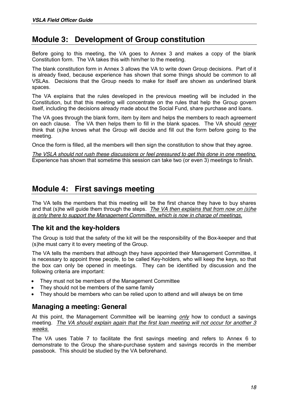## **Module 3: Development of Group constitution**

Before going to this meeting, the VA goes to Annex 3 and makes a copy of the blank Constitution form. The VA takes this with him/her to the meeting.

The blank constitution form in Annex 3 allows the VA to write down Group decisions. Part of it is already fixed, because experience has shown that some things should be common to all VSLAs. Decisions that the Group needs to make for itself are shown as underlined blank spaces.

The VA explains that the rules developed in the previous meeting will be included in the Constitution, but that this meeting will concentrate on the rules that help the Group govern itself, including the decisions already made about the Social Fund, share purchase and loans.

The VA goes through the blank form, item by item and helps the members to reach agreement on each clause. The VA then helps them to fill in the blank spaces. The VA should *never* think that (s)he knows what the Group will decide and fill out the form before going to the meeting.

Once the form is filled, all the members will then sign the constitution to show that they agree.

*The VSLA should not rush these discussions or feel pressured to get this done in one meeting.* Experience has shown that sometime this session can take two (or even 3) meetings to finish.

## **Module 4: First savings meeting**

The VA tells the members that this meeting will be the first chance they have to buy shares and that (s)he will guide them through the steps. *The VA then explains that from now on (s)he is only there to support the Management Committee, which is now in charge of meetings.*

### **The kit and the key-holders**

The Group is told that the safety of the kit will be the responsibility of the Box-keeper and that (s)he must carry it to every meeting of the Group.

The VA tells the members that although they have appointed their Management Committee, it is necessary to appoint three people, to be called Key-holders, who will keep the keys, so that the box can only be opened in meetings. They can be identified by discussion and the following criteria are important:

- They must not be members of the Management Committee
- They should not be members of the same family
- They should be members who can be relied upon to attend and will always be on time

### **Managing a meeting: General**

At this point, the Management Committee will be learning *only* how to conduct a savings meeting. *The VA should explain again that the first loan meeting will not occur for another 3 weeks.*

The VA uses Table 7 to facilitate the first savings meeting and refers to Annex 6 to demonstrate to the Group the share-purchase system and savings records in the member passbook. This should be studied by the VA beforehand.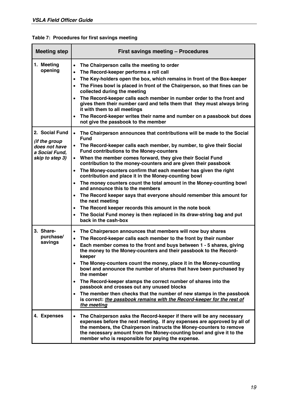| <u>rabit r. Fructuares for mist savings metung</u> |                                           |  |  |  |
|----------------------------------------------------|-------------------------------------------|--|--|--|
| <b>Meeting step</b>                                | <b>First savings meeting - Procedures</b> |  |  |  |
|                                                    |                                           |  |  |  |

|  | Table 7: Procedures for first savings meeting |  |  |  |
|--|-----------------------------------------------|--|--|--|
|--|-----------------------------------------------|--|--|--|

| 1. Meeting<br>opening                  | The Chairperson calls the meeting to order<br>$\bullet$<br>The Record-keeper performs a roll call<br>$\bullet$                                                                                                                                                                                                                                                     |
|----------------------------------------|--------------------------------------------------------------------------------------------------------------------------------------------------------------------------------------------------------------------------------------------------------------------------------------------------------------------------------------------------------------------|
|                                        | The Key-holders open the box, which remains in front of the Box-keeper<br>$\bullet$                                                                                                                                                                                                                                                                                |
|                                        | The Fines bowl is placed in front of the Chairperson, so that fines can be<br>$\bullet$<br>collected during the meeting                                                                                                                                                                                                                                            |
|                                        | The Record-keeper calls each member in number order to the front and<br>gives them their number card and tells them that they must always bring<br>it with them to all meetings                                                                                                                                                                                    |
|                                        | The Record-keeper writes their name and number on a passbook but does<br>not give the passbook to the member                                                                                                                                                                                                                                                       |
| 2. Social Fund<br><i>(if the group</i> | The Chairperson announces that contributions will be made to the Social<br>$\bullet$<br><b>Fund</b>                                                                                                                                                                                                                                                                |
| does not have<br>a Social Fund,        | The Record-keeper calls each member, by number, to give their Social<br>$\bullet$<br><b>Fund contributions to the Money-counters</b>                                                                                                                                                                                                                               |
| skip to step 3)                        | When the member comes forward, they give their Social Fund<br>$\bullet$<br>contribution to the money-counters and are given their passbook                                                                                                                                                                                                                         |
|                                        | The Money-counters confirm that each member has given the right<br>$\bullet$<br>contribution and place it in the Money-counting bowl                                                                                                                                                                                                                               |
|                                        | The money counters count the total amount in the Money-counting bowl<br>and announce this to the members                                                                                                                                                                                                                                                           |
|                                        | The Record keeper says that everyone should remember this amount for<br>the next meeting                                                                                                                                                                                                                                                                           |
|                                        | The Record keeper records this amount in the note book<br>$\bullet$                                                                                                                                                                                                                                                                                                |
|                                        | The Social Fund money is then replaced in its draw-string bag and put<br>$\bullet$<br>back in the cash-box                                                                                                                                                                                                                                                         |
| 3. Share-                              | The Chairperson announces that members will now buy shares<br>$\bullet$                                                                                                                                                                                                                                                                                            |
| purchase/                              | The Record-keeper calls each member to the front by their number<br>$\bullet$                                                                                                                                                                                                                                                                                      |
| savings                                | Each member comes to the front and buys between 1 - 5 shares, giving<br>$\bullet$<br>the money to the Money-counters and their passbook to the Record-<br>keeper                                                                                                                                                                                                   |
|                                        | The Money-counters count the money, place it in the Money-counting<br>$\bullet$<br>bowl and announce the number of shares that have been purchased by<br>the member                                                                                                                                                                                                |
|                                        | The Record-keeper stamps the correct number of shares into the<br>$\bullet$<br>passbook and crosses out any unused blocks                                                                                                                                                                                                                                          |
|                                        | The member then checks that the number of new stamps in the passbook<br>$\bullet$<br>is correct: the passbook remains with the Record-keeper for the rest of<br>the meeting                                                                                                                                                                                        |
| 4. Expenses                            | The Chairperson asks the Record-keeper if there will be any necessary<br>$\bullet$<br>expenses before the next meeting. If any expenses are approved by all of<br>the members, the Chairperson instructs the Money-counters to remove<br>the necessary amount from the Money-counting bowl and give it to the<br>member who is responsible for paying the expense. |
|                                        |                                                                                                                                                                                                                                                                                                                                                                    |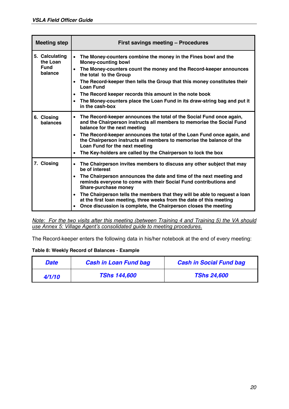| <b>Meeting step</b>                       | <b>First savings meeting - Procedures</b>                                                                                                                                                                                                       |
|-------------------------------------------|-------------------------------------------------------------------------------------------------------------------------------------------------------------------------------------------------------------------------------------------------|
| 5. Calculating<br>the Loan<br><b>Fund</b> | The Money-counters combine the money in the Fines bowl and the<br>$\bullet$<br><b>Money-counting bowl</b>                                                                                                                                       |
| balance                                   | The Money-counters count the money and the Record-keeper announces<br>$\bullet$<br>the total to the Group                                                                                                                                       |
|                                           | The Record-keeper then tells the Group that this money constitutes their<br>$\bullet$<br><b>Loan Fund</b>                                                                                                                                       |
|                                           | The Record keeper records this amount in the note book<br>$\bullet$                                                                                                                                                                             |
|                                           | The Money-counters place the Loan Fund in its draw-string bag and put it<br>in the cash-box                                                                                                                                                     |
| 6. Closing<br>balances                    | The Record-keeper announces the total of the Social Fund once again,<br>$\bullet$<br>and the Chairperson instructs all members to memorise the Social Fund<br>balance for the next meeting                                                      |
|                                           | The Record-keeper announces the total of the Loan Fund once again, and<br>$\bullet$<br>the Chairperson instructs all members to memorise the balance of the<br>Loan Fund for the next meeting                                                   |
|                                           | The Key-holders are called by the Chairperson to lock the box<br>$\bullet$                                                                                                                                                                      |
| 7. Closing                                | The Chairperson invites members to discuss any other subject that may<br>$\bullet$<br>be of interest                                                                                                                                            |
|                                           | The Chairperson announces the date and time of the next meeting and<br>$\bullet$<br>reminds everyone to come with their Social Fund contributions and<br>Share-purchase money                                                                   |
|                                           | The Chairperson tells the members that they will be able to request a loan<br>$\bullet$<br>at the first loan meeting, three weeks from the date of this meeting<br>Once discussion is complete, the Chairperson closes the meeting<br>$\bullet$ |

*Note: For the two visits after this meeting (between Training 4 and Training 5) the VA should <u>Use Annex 5: Village Agent's consolidated guide to meeting procedures.*</u>

The Record-keeper enters the following data in his/her notebook at the end of every meeting:

#### **Table 8: Weekly Record of Balances - Example**

| <b>Date</b> | <b>Cash in Loan Fund bag</b> | <b>Cash in Social Fund bag</b> |
|-------------|------------------------------|--------------------------------|
| 4/1/10      | <b>TShs 144,600</b>          | <b>TShs 24,600</b>             |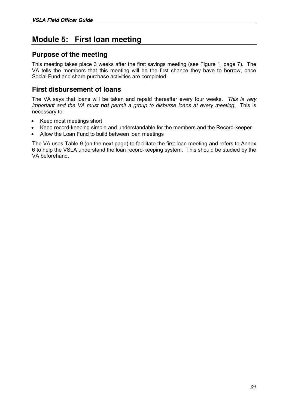## **Module 5: First loan meeting**

#### **Purpose of the meeting**

This meeting takes place 3 weeks after the first savings meeting (see Figure 1, page 7). The VA tells the members that this meeting will be the first chance they have to borrow, once Social Fund and share purchase activities are completed.

#### **First disbursement of loans**

The VA says that loans will be taken and repaid thereafter every four weeks. *This is very important and the VA must not permit a group to disburse loans at every meeting.* This is necessary to:

- Keep most meetings short
- x Keep record-keeping simple and understandable for the members and the Record-keeper
- Allow the Loan Fund to build between loan meetings

The VA uses Table 9 (on the next page) to facilitate the first loan meeting and refers to Annex 6 to help the VSLA understand the loan record-keeping system. This should be studied by the VA beforehand.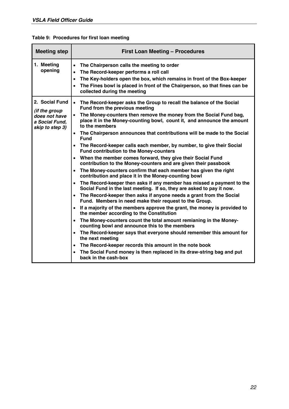| <b>Meeting step</b>                                                                          | <b>First Loan Meeting - Procedures</b>                                                                                                                                                                                                                                                                                                                                                                                                                                                                                                                                                                                                                                                                                                                                                                                                                                                                                                                                                                                                                                                                                                                                                                                                                                                                                                                                                                                                                                                                                    |
|----------------------------------------------------------------------------------------------|---------------------------------------------------------------------------------------------------------------------------------------------------------------------------------------------------------------------------------------------------------------------------------------------------------------------------------------------------------------------------------------------------------------------------------------------------------------------------------------------------------------------------------------------------------------------------------------------------------------------------------------------------------------------------------------------------------------------------------------------------------------------------------------------------------------------------------------------------------------------------------------------------------------------------------------------------------------------------------------------------------------------------------------------------------------------------------------------------------------------------------------------------------------------------------------------------------------------------------------------------------------------------------------------------------------------------------------------------------------------------------------------------------------------------------------------------------------------------------------------------------------------------|
| 1. Meeting<br>opening                                                                        | The Chairperson calls the meeting to order<br>$\bullet$<br>The Record-keeper performs a roll call<br>$\bullet$<br>The Key-holders open the box, which remains in front of the Box-keeper<br>$\bullet$<br>The Fines bowl is placed in front of the Chairperson, so that fines can be<br>$\bullet$<br>collected during the meeting                                                                                                                                                                                                                                                                                                                                                                                                                                                                                                                                                                                                                                                                                                                                                                                                                                                                                                                                                                                                                                                                                                                                                                                          |
| 2. Social Fund<br><i>(if the group</i><br>does not have<br>a Social Fund,<br>skip to step 3) | • The Record-keeper asks the Group to recall the balance of the Social<br>Fund from the previous meeting<br>The Money-counters then remove the money from the Social Fund bag,<br>place it in the Money-counting bowl, count it, and announce the amount<br>to the members<br>The Chairperson announces that contributions will be made to the Social<br>$\bullet$<br><b>Fund</b><br>The Record-keeper calls each member, by number, to give their Social<br>$\bullet$<br>Fund contribution to the Money-counters<br>When the member comes forward, they give their Social Fund<br>contribution to the Money-counters and are given their passbook<br>The Money-counters confirm that each member has given the right<br>contribution and place it in the Money-counting bowl<br>The Record-keeper then asks if any member has missed a payment to the<br>$\bullet$<br>Social Fund in the last meeting. If so, they are asked to pay it now.<br>The Record-keeper then asks if anyone needs a grant from the Social<br>$\bullet$<br>Fund. Members in need make their request to the Group.<br>If a majority of the members approve the grant, the money is provided to<br>the member according to the Constitution<br>The Money-counters count the total amount remianing in the Money-<br>$\bullet$<br>counting bowl and announce this to the members<br>The Record-keeper says that everyone should remember this amount for<br>$\bullet$<br>the next meeting<br>The Record-keeper records this amount in the note book |
|                                                                                              | The Social Fund money is then replaced in its draw-string bag and put<br>$\bullet$<br>back in the cash-box                                                                                                                                                                                                                                                                                                                                                                                                                                                                                                                                                                                                                                                                                                                                                                                                                                                                                                                                                                                                                                                                                                                                                                                                                                                                                                                                                                                                                |

### **Table 9: Procedures for first loan meeting**

H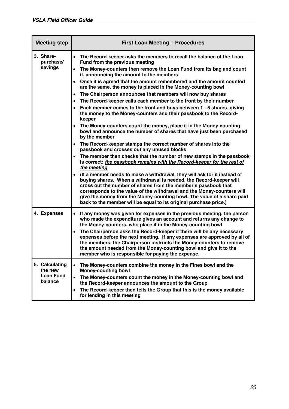| <b>Meeting step</b>                           | <b>First Loan Meeting - Procedures</b>                                                                                                                                                                                                                                                                                                                                                                                                                              |  |  |  |  |  |  |  |
|-----------------------------------------------|---------------------------------------------------------------------------------------------------------------------------------------------------------------------------------------------------------------------------------------------------------------------------------------------------------------------------------------------------------------------------------------------------------------------------------------------------------------------|--|--|--|--|--|--|--|
| 3. Share-<br>purchase/                        | • The Record-keeper asks the members to recall the balance of the Loan<br>Fund from the previous meeting                                                                                                                                                                                                                                                                                                                                                            |  |  |  |  |  |  |  |
| savings                                       | The Money-counters then remove the Loan Fund from its bag and count<br>$\bullet$<br>it, announcing the amount to the members                                                                                                                                                                                                                                                                                                                                        |  |  |  |  |  |  |  |
|                                               | Once it is agreed that the amount remembered and the amount counted<br>are the same, the money is placed in the Money-counting bowl                                                                                                                                                                                                                                                                                                                                 |  |  |  |  |  |  |  |
|                                               | The Chairperson announces that members will now buy shares<br>$\bullet$                                                                                                                                                                                                                                                                                                                                                                                             |  |  |  |  |  |  |  |
|                                               | The Record-keeper calls each member to the front by their number<br>$\bullet$                                                                                                                                                                                                                                                                                                                                                                                       |  |  |  |  |  |  |  |
|                                               | Each member comes to the front and buys between 1 - 5 shares, giving<br>the money to the Money-counters and their passbook to the Record-<br>keeper                                                                                                                                                                                                                                                                                                                 |  |  |  |  |  |  |  |
|                                               | The Money-counters count the money, place it in the Money-counting<br>bowl and announce the number of shares that have just been purchased<br>by the member                                                                                                                                                                                                                                                                                                         |  |  |  |  |  |  |  |
|                                               | The Record-keeper stamps the correct number of shares into the<br>$\bullet$<br>passbook and crosses out any unused blocks                                                                                                                                                                                                                                                                                                                                           |  |  |  |  |  |  |  |
|                                               | The member then checks that the number of new stamps in the passbook<br>is correct: the passbook remains with the Record-keeper for the rest of<br>the meeting                                                                                                                                                                                                                                                                                                      |  |  |  |  |  |  |  |
|                                               | (If a member needs to make a withdrawal, they will ask for it instead of<br>buying shares. When a withdrawal is needed, the Record-keeper will<br>cross out the number of shares from the member's passbook that<br>corresponds to the value of the withdrawal and the Money-counters will<br>give the money from the Money-counting bowl. The value of a share paid<br>back to the member will be equal to its original purchase price.)                           |  |  |  |  |  |  |  |
| 4. Expenses                                   | If any money was given for expenses in the previous meeting, the person<br>$\bullet$<br>who made the expenditure gives an account and returns any change to<br>the Money-counters, who place it in the Money-counting bowl<br>The Chairperson asks the Record-keeper if there will be any necessary<br>$\bullet$<br>expenses before the next meeting. If any expenses are approved by all of<br>the members, the Chairperson instructs the Money-counters to remove |  |  |  |  |  |  |  |
|                                               | the amount needed from the Money-counting bowl and give it to the<br>member who is responsible for paying the expense.                                                                                                                                                                                                                                                                                                                                              |  |  |  |  |  |  |  |
| 5. Calculating<br>the new<br><b>Loan Fund</b> | The Money-counters combine the money in the Fines bowl and the<br>$\bullet$<br><b>Money-counting bowl</b><br>The Money-counters count the money in the Money-counting bowl and<br>$\bullet$                                                                                                                                                                                                                                                                         |  |  |  |  |  |  |  |
| balance                                       | the Record-keeper announces the amount to the Group                                                                                                                                                                                                                                                                                                                                                                                                                 |  |  |  |  |  |  |  |
|                                               | The Record-keeper then tells the Group that this is the money available<br>$\bullet$<br>for lending in this meeting                                                                                                                                                                                                                                                                                                                                                 |  |  |  |  |  |  |  |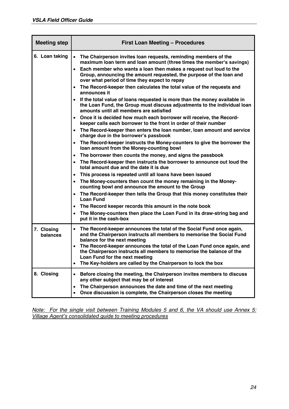| <b>Meeting step</b>    | <b>First Loan Meeting - Procedures</b>                                                                                                                                                                                                                                                                                                                                                                                                                                                                                                                                                                                                                                                                                                                                                                                                                                                                                                                                                                                                                                                                                                                                                                                                                                                                                                                                                                                                                                                                                                                                                                                                                                                                         |
|------------------------|----------------------------------------------------------------------------------------------------------------------------------------------------------------------------------------------------------------------------------------------------------------------------------------------------------------------------------------------------------------------------------------------------------------------------------------------------------------------------------------------------------------------------------------------------------------------------------------------------------------------------------------------------------------------------------------------------------------------------------------------------------------------------------------------------------------------------------------------------------------------------------------------------------------------------------------------------------------------------------------------------------------------------------------------------------------------------------------------------------------------------------------------------------------------------------------------------------------------------------------------------------------------------------------------------------------------------------------------------------------------------------------------------------------------------------------------------------------------------------------------------------------------------------------------------------------------------------------------------------------------------------------------------------------------------------------------------------------|
| 6. Loan taking         | The Chairperson invites loan requests, reminding members of the<br>$\bullet$<br>maximum loan term and loan amount (three times the member's savings)<br>Each member who wants a loan then makes a request out loud to the<br>$\bullet$<br>Group, announcing the amount requested, the purpose of the loan and<br>over what period of time they expect to repay<br>The Record-keeper then calculates the total value of the requests and<br>announces it<br>• If the total value of loans requested is more than the money available in<br>the Loan Fund, the Group must discuss adjustments to the individual loan<br>amounts until all members are satisfied<br>• Once it is decided how much each borrower will receive, the Record-<br>keeper calls each borrower to the front in order of their number<br>• The Record-keeper then enters the loan number, loan amount and service<br>charge due in the borrower's passbook<br>• The Record-keeper instructs the Money-counters to give the borrower the<br>loan amount from the Money-counting bowl<br>The borrower then counts the money, and signs the passbook<br>$\bullet$<br>The Record-keeper then instructs the borrower to announce out loud the<br>total amount due and the date it is due<br>This process is repeated until all loans have been issued<br>$\bullet$<br>The Money-counters then count the money remaining in the Money-<br>$\bullet$<br>counting bowl and announce the amount to the Group<br>• The Record-keeper then tells the Group that this money constitutes their<br><b>Loan Fund</b><br>The Record keeper records this amount in the note book<br>The Money-counters then place the Loan Fund in its draw-string bag and |
| 7. Closing<br>balances | put it in the cash-box<br>The Record-keeper announces the total of the Social Fund once again,<br>$\bullet$<br>and the Chairperson instructs all members to memorise the Social Fund<br>balance for the next meeting<br>The Record-keeper announces the total of the Loan Fund once again, and<br>$\bullet$<br>the Chairperson instructs all members to memorise the balance of the<br>Loan Fund for the next meeting<br>The Key-holders are called by the Chairperson to lock the box<br>٠                                                                                                                                                                                                                                                                                                                                                                                                                                                                                                                                                                                                                                                                                                                                                                                                                                                                                                                                                                                                                                                                                                                                                                                                                    |
| 8. Closing             | Before closing the meeting, the Chairperson invites members to discuss<br>٠<br>any other subject that may be of interest<br>The Chairperson announces the date and time of the next meeting<br>٠<br>Once discussion is complete, the Chairperson closes the meeting                                                                                                                                                                                                                                                                                                                                                                                                                                                                                                                                                                                                                                                                                                                                                                                                                                                                                                                                                                                                                                                                                                                                                                                                                                                                                                                                                                                                                                            |

*Note: For the single visit between Training Modules 5 and 6, the VA should use Annex 5:*  **Village Agent's consolidated guide to meeting procedures**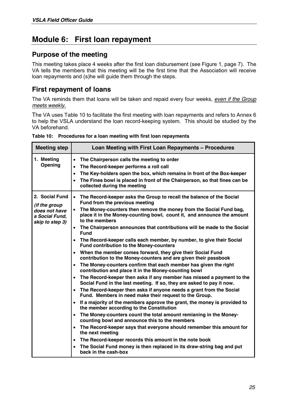## **Module 6: First loan repayment**

#### **Purpose of the meeting**

This meeting takes place 4 weeks after the first loan disbursement (see Figure 1, page 7). The VA tells the members that this meeting will be the first time that the Association will receive loan repayments and (s)he will guide them through the steps.

### **First repayment of loans**

The VA reminds them that loans will be taken and repaid every four weeks, *even if the Group meets weekly.*

The VA uses Table 10 to facilitate the first meeting with loan repayments and refers to Annex 6 to help the VSLA understand the loan record-keeping system. This should be studied by the VA beforehand.

| Table 10: Procedures for a loan meeting with first loan repayments |  |
|--------------------------------------------------------------------|--|
|--------------------------------------------------------------------|--|

| <b>Meeting step</b>                                                                   | Loan Meeting with First Loan Repayments - Procedures                                                                                                                                                                                                                                                                                                                                                                                                                                                                                                                                                                                                                                                                                                                                                                                                                                                                                                                                                                                                                                                                                                                                                                                                                                                                                                                                                                                                                                                                                                                                                                                                                                                                       |
|---------------------------------------------------------------------------------------|----------------------------------------------------------------------------------------------------------------------------------------------------------------------------------------------------------------------------------------------------------------------------------------------------------------------------------------------------------------------------------------------------------------------------------------------------------------------------------------------------------------------------------------------------------------------------------------------------------------------------------------------------------------------------------------------------------------------------------------------------------------------------------------------------------------------------------------------------------------------------------------------------------------------------------------------------------------------------------------------------------------------------------------------------------------------------------------------------------------------------------------------------------------------------------------------------------------------------------------------------------------------------------------------------------------------------------------------------------------------------------------------------------------------------------------------------------------------------------------------------------------------------------------------------------------------------------------------------------------------------------------------------------------------------------------------------------------------------|
| 1. Meeting<br>Opening                                                                 | The Chairperson calls the meeting to order<br>$\bullet$<br>The Record-keeper performs a roll call<br>$\bullet$<br>The Key-holders open the box, which remains in front of the Box-keeper<br>$\bullet$<br>The Fines bowl is placed in front of the Chairperson, so that fines can be<br>$\bullet$<br>collected during the meeting                                                                                                                                                                                                                                                                                                                                                                                                                                                                                                                                                                                                                                                                                                                                                                                                                                                                                                                                                                                                                                                                                                                                                                                                                                                                                                                                                                                           |
| 2. Social Fund<br>(if the group<br>does not have<br>a Social Fund,<br>skip to step 3) | $\bullet$<br>The Record-keeper asks the Group to recall the balance of the Social<br>Fund from the previous meeting<br>The Money-counters then remove the money from the Social Fund bag,<br>$\bullet$<br>place it in the Money-counting bowl, count it, and announce the amount<br>to the members<br>The Chairperson announces that contributions will be made to the Social<br>$\bullet$<br><b>Fund</b><br>The Record-keeper calls each member, by number, to give their Social<br>$\bullet$<br><b>Fund contribution to the Money-counters</b><br>When the member comes forward, they give their Social Fund<br>$\bullet$<br>contribution to the Money-counters and are given their passbook<br>The Money-counters confirm that each member has given the right<br>$\bullet$<br>contribution and place it in the Money-counting bowl<br>The Record-keeper then asks if any member has missed a payment to the<br>$\bullet$<br>Social Fund in the last meeting. If so, they are asked to pay it now.<br>The Record-keeper then asks if anyone needs a grant from the Social<br>$\bullet$<br>Fund. Members in need make their request to the Group.<br>If a majority of the members approve the grant, the money is provided to<br>$\bullet$<br>the member according to the Constitution<br>The Money-counters count the total amount remianing in the Money-<br>$\bullet$<br>counting bowl and announce this to the members<br>The Record-keeper says that everyone should remember this amount for<br>$\bullet$<br>the next meeting<br>The Record-keeper records this amount in the note book<br>$\bullet$<br>The Social Fund money is then replaced in its draw-string bag and put<br>$\bullet$<br>back in the cash-box |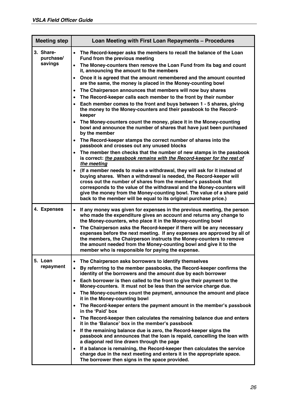| <b>Meeting step</b>    | Loan Meeting with First Loan Repayments - Procedures                                                                                                                                                                                                                                                                                                                                                                                                                                                                                                                                          |  |  |  |  |  |  |  |  |  |  |
|------------------------|-----------------------------------------------------------------------------------------------------------------------------------------------------------------------------------------------------------------------------------------------------------------------------------------------------------------------------------------------------------------------------------------------------------------------------------------------------------------------------------------------------------------------------------------------------------------------------------------------|--|--|--|--|--|--|--|--|--|--|
| 3. Share-<br>purchase/ | The Record-keeper asks the members to recall the balance of the Loan<br>$\bullet$<br>Fund from the previous meeting                                                                                                                                                                                                                                                                                                                                                                                                                                                                           |  |  |  |  |  |  |  |  |  |  |
| savings                | The Money-counters then remove the Loan Fund from its bag and count<br>$\bullet$<br>it, announcing the amount to the members                                                                                                                                                                                                                                                                                                                                                                                                                                                                  |  |  |  |  |  |  |  |  |  |  |
|                        | Once it is agreed that the amount remembered and the amount counted<br>$\bullet$<br>are the same, the money is placed in the Money-counting bowl                                                                                                                                                                                                                                                                                                                                                                                                                                              |  |  |  |  |  |  |  |  |  |  |
|                        | The Chairperson announces that members will now buy shares<br>$\bullet$                                                                                                                                                                                                                                                                                                                                                                                                                                                                                                                       |  |  |  |  |  |  |  |  |  |  |
|                        | The Record-keeper calls each member to the front by their number<br>$\bullet$                                                                                                                                                                                                                                                                                                                                                                                                                                                                                                                 |  |  |  |  |  |  |  |  |  |  |
|                        | Each member comes to the front and buys between 1 - 5 shares, giving<br>the money to the Money-counters and their passbook to the Record-<br>keeper                                                                                                                                                                                                                                                                                                                                                                                                                                           |  |  |  |  |  |  |  |  |  |  |
|                        | The Money-counters count the money, place it in the Money-counting<br>$\bullet$<br>bowl and announce the number of shares that have just been purchased<br>by the member                                                                                                                                                                                                                                                                                                                                                                                                                      |  |  |  |  |  |  |  |  |  |  |
|                        | • The Record-keeper stamps the correct number of shares into the<br>passbook and crosses out any unused blocks                                                                                                                                                                                                                                                                                                                                                                                                                                                                                |  |  |  |  |  |  |  |  |  |  |
|                        | The member then checks that the number of new stamps in the passbook<br>$\bullet$<br>is correct: the passbook remains with the Record-keeper for the rest of<br>the meeting                                                                                                                                                                                                                                                                                                                                                                                                                   |  |  |  |  |  |  |  |  |  |  |
|                        | (If a member needs to make a withdrawal, they will ask for it instead of<br>$\bullet$<br>buying shares. When a withdrawal is needed, the Record-keeper will<br>cross out the number of shares from the member's passbook that<br>corresponds to the value of the withdrawal and the Money-counters will<br>give the money from the Money-counting bowl. The value of a share paid<br>back to the member will be equal to its original purchase price.)                                                                                                                                        |  |  |  |  |  |  |  |  |  |  |
| 4. Expenses            | If any money was given for expenses in the previous meeting, the person<br>$\bullet$<br>who made the expenditure gives an account and returns any change to<br>the Money-counters, who place it in the Money-counting bowl<br>The Chairperson asks the Record-keeper if there will be any necessary<br>$\bullet$<br>expenses before the next meeting. If any expenses are approved by all of<br>the members, the Chairperson instructs the Money-counters to remove<br>the amount needed from the Money-counting bowl and give it to the<br>member who is responsible for paying the expense. |  |  |  |  |  |  |  |  |  |  |
| 5. Loan                | The Chairperson asks borrowers to identify themselves<br>$\bullet$                                                                                                                                                                                                                                                                                                                                                                                                                                                                                                                            |  |  |  |  |  |  |  |  |  |  |
| repayment              | By referrring to the member passbooks, the Record-keeper confirms the<br>$\bullet$<br>identity of the borrowers and the amount due by each borrower                                                                                                                                                                                                                                                                                                                                                                                                                                           |  |  |  |  |  |  |  |  |  |  |
|                        | Each borrower is then called to the front to give their payment to the<br>$\bullet$<br>Money-counters. It must not be less than the service charge due.                                                                                                                                                                                                                                                                                                                                                                                                                                       |  |  |  |  |  |  |  |  |  |  |
|                        | The Money-counters count the payment, announce the amount and place<br>$\bullet$<br>it in the Money-counting bowl                                                                                                                                                                                                                                                                                                                                                                                                                                                                             |  |  |  |  |  |  |  |  |  |  |
|                        | The Record-keeper enters the payment amount in the member's passbook<br>$\bullet$<br>in the 'Paid' box                                                                                                                                                                                                                                                                                                                                                                                                                                                                                        |  |  |  |  |  |  |  |  |  |  |
|                        | The Record-keeper then calculates the remaining balance due and enters<br>$\bullet$<br>it in the 'Balance' box in the member's passbook                                                                                                                                                                                                                                                                                                                                                                                                                                                       |  |  |  |  |  |  |  |  |  |  |
|                        | If the remaining balance due is zero, the Record-keeper signs the<br>$\bullet$<br>passbook and announces that the loan is repaid, cancelling the loan with<br>a diagonal red line drawn through the page                                                                                                                                                                                                                                                                                                                                                                                      |  |  |  |  |  |  |  |  |  |  |
|                        | If a balance is remaining, the Record-keeper then calculates the service<br>$\bullet$<br>charge due in the next meeting and enters it in the appropriate space.<br>The borrower then signs in the space provided.                                                                                                                                                                                                                                                                                                                                                                             |  |  |  |  |  |  |  |  |  |  |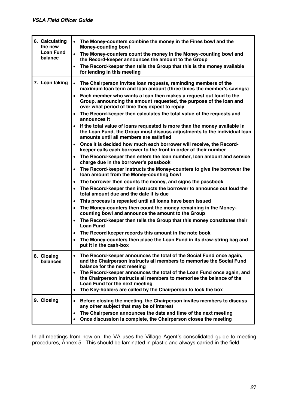| 6. Calculating<br>the new<br><b>Loan Fund</b><br>balance | • The Money-counters combine the money in the Fines bowl and the<br><b>Money-counting bowl</b><br>The Money-counters count the money in the Money-counting bowl and<br>$\bullet$<br>the Record-keeper announces the amount to the Group<br>The Record-keeper then tells the Group that this is the money available<br>$\bullet$<br>for lending in this meeting                                                                                                                                                                                                                                                                                                                                                                                                                                                                                                                                                                                                                                                                                                                                                                                                                                                                                                                                                                                                                                                                                                                                                                                                                                                                                                                                                                                                                                 |
|----------------------------------------------------------|------------------------------------------------------------------------------------------------------------------------------------------------------------------------------------------------------------------------------------------------------------------------------------------------------------------------------------------------------------------------------------------------------------------------------------------------------------------------------------------------------------------------------------------------------------------------------------------------------------------------------------------------------------------------------------------------------------------------------------------------------------------------------------------------------------------------------------------------------------------------------------------------------------------------------------------------------------------------------------------------------------------------------------------------------------------------------------------------------------------------------------------------------------------------------------------------------------------------------------------------------------------------------------------------------------------------------------------------------------------------------------------------------------------------------------------------------------------------------------------------------------------------------------------------------------------------------------------------------------------------------------------------------------------------------------------------------------------------------------------------------------------------------------------------|
| 7. Loan taking                                           | The Chairperson invites loan requests, reminding members of the<br>$\bullet$<br>maximum loan term and loan amount (three times the member's savings)<br>Each member who wants a loan then makes a request out loud to the<br>$\bullet$<br>Group, announcing the amount requested, the purpose of the loan and<br>over what period of time they expect to repay<br>The Record-keeper then calculates the total value of the requests and<br>٠<br>announces it<br>If the total value of loans requested is more than the money available in<br>$\bullet$<br>the Loan Fund, the Group must discuss adjustments to the individual loan<br>amounts until all members are satisfied<br>Once it is decided how much each borrower will receive, the Record-<br>$\bullet$<br>keeper calls each borrower to the front in order of their number<br>• The Record-keeper then enters the loan number, loan amount and service<br>charge due in the borrower's passbook<br>The Record-keeper instructs the Money-counters to give the borrower the<br>$\bullet$<br>loan amount from the Money-counting bowl<br>The borrower then counts the money, and signs the passbook<br>٠<br>The Record-keeper then instructs the borrower to announce out loud the<br>$\bullet$<br>total amount due and the date it is due<br>This process is repeated until all loans have been issued<br>$\bullet$<br>The Money-counters then count the money remaining in the Money-<br>$\bullet$<br>counting bowl and announce the amount to the Group<br>The Record-keeper then tells the Group that this money constitutes their<br>$\bullet$<br><b>Loan Fund</b><br>The Record keeper records this amount in the note book<br>$\bullet$<br>The Money-counters then place the Loan Fund in its draw-string bag and<br>$\bullet$ |
| 8. Closing                                               | put it in the cash-box<br>The Record-keeper announces the total of the Social Fund once again,<br>$\bullet$                                                                                                                                                                                                                                                                                                                                                                                                                                                                                                                                                                                                                                                                                                                                                                                                                                                                                                                                                                                                                                                                                                                                                                                                                                                                                                                                                                                                                                                                                                                                                                                                                                                                                    |
| balances                                                 | and the Chairperson instructs all members to memorise the Social Fund<br>balance for the next meeting<br>The Record-keeper announces the total of the Loan Fund once again, and<br>$\bullet$<br>the Chairperson instructs all members to memorise the balance of the<br>Loan Fund for the next meeting<br>The Key-holders are called by the Chairperson to lock the box<br>٠                                                                                                                                                                                                                                                                                                                                                                                                                                                                                                                                                                                                                                                                                                                                                                                                                                                                                                                                                                                                                                                                                                                                                                                                                                                                                                                                                                                                                   |
| 9. Closing                                               | Before closing the meeting, the Chairperson invites members to discuss<br>$\bullet$<br>any other subject that may be of interest<br>The Chairperson announces the date and time of the next meeting<br>$\bullet$<br>Once discussion is complete, the Chairperson closes the meeting<br>$\bullet$                                                                                                                                                                                                                                                                                                                                                                                                                                                                                                                                                                                                                                                                                                                                                                                                                                                                                                                                                                                                                                                                                                                                                                                                                                                                                                                                                                                                                                                                                               |

In all meetings from now on, the VA uses the Village Agent's consolidated guide to meeting procedures, Annex 5. This should be laminated in plastic and always carried in the field.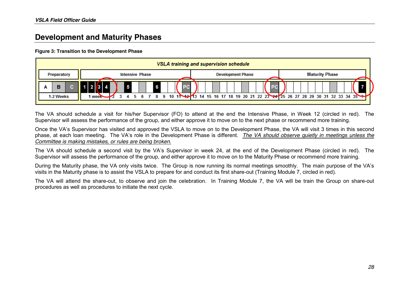## **Development and Maturity Phases**

#### **Figure 3: Transition to the Development Phase**

|   | VSLA training and supervision schedule |  |        |  |  |                        |  |                       |  |  |  |  |  |  |    |  |                          |  |           |  |  |  |                       |  |                                                                                 |
|---|----------------------------------------|--|--------|--|--|------------------------|--|-----------------------|--|--|--|--|--|--|----|--|--------------------------|--|-----------|--|--|--|-----------------------|--|---------------------------------------------------------------------------------|
|   | Preparatory                            |  |        |  |  | <b>Intensive Phase</b> |  |                       |  |  |  |  |  |  |    |  | <b>Development Phase</b> |  |           |  |  |  | <b>Maturity Phase</b> |  |                                                                                 |
| Α |                                        |  |        |  |  |                        |  | <b>SARA SERIES SU</b> |  |  |  |  |  |  | Z, |  | .<br>Ma                  |  | <b>PC</b> |  |  |  | .<br>Ma               |  |                                                                                 |
|   | 1-2 Weeks                              |  | l week |  |  |                        |  |                       |  |  |  |  |  |  |    |  |                          |  |           |  |  |  |                       |  | 10 11 12 13 14 15 16 17 18 19 20 21 22 23 24 25 26 27 28 29 30 31 32 33 34 35 2 |

The VA should schedule a visit for his/her Supervisor (FO) to attend at the end the Intensive Phase, in Week 12 (circled in red). The Supervisor will assess the performance of the group, and either approve it to move on to the next phase or recommend more training.

Once the VA's Supervisor has visited and approved the VSLA to move on to the Development Phase, the VA will visit 3 times in this second phase, at each loan meeting. The VA's role in the Development Phase is different. *The VA should observe quietly in meetings unless the Committee is making mistakes, or rules are being broken.*

The VA should schedule a second visit by the VA's Supervisor in week 24, at the end of the Development Phase (circled in red). The Supervisor will assess the performance of the group, and either approve it to move on to the Maturity Phase or recommend more training.

During the Maturity phase, the VA only visits twice. The Group is now running its normal meetings smoothly. The main purpose of the VA's visits in the Maturity phase is to assist the VSLA to prepare for and conduct its first share-out (Training Module 7, circled in red).

The VA will attend the share-out, to observe and join the celebration. In Training Module 7, the VA will be train the Group on share-out procedures as well as procedures to initiate the next cycle.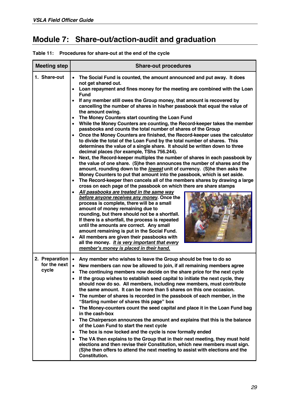## **Module 7: Share-out/action-audit and graduation**

| <b>Meeting step</b>                     | <b>Share-out procedures</b>                                                                                                                                                                                                                                                                                                                                                                                                                                                                                                                                                                                                                                                                                                                                                                                                                                                                                                                                                                                                                                                                                                                                                                                                                                                                                                                                                                                                                                                                                                                                                                                                                                                                                                                                                                                                                                                                                                                                              |
|-----------------------------------------|--------------------------------------------------------------------------------------------------------------------------------------------------------------------------------------------------------------------------------------------------------------------------------------------------------------------------------------------------------------------------------------------------------------------------------------------------------------------------------------------------------------------------------------------------------------------------------------------------------------------------------------------------------------------------------------------------------------------------------------------------------------------------------------------------------------------------------------------------------------------------------------------------------------------------------------------------------------------------------------------------------------------------------------------------------------------------------------------------------------------------------------------------------------------------------------------------------------------------------------------------------------------------------------------------------------------------------------------------------------------------------------------------------------------------------------------------------------------------------------------------------------------------------------------------------------------------------------------------------------------------------------------------------------------------------------------------------------------------------------------------------------------------------------------------------------------------------------------------------------------------------------------------------------------------------------------------------------------------|
| 1. Share-out                            | The Social Fund is counted, the amount announced and put away. It does<br>not get shared out.<br>Loan repayment and fines money for the meeting are combined with the Loan<br><b>Fund</b><br>If any member still owes the Group money, that amount is recovered by<br>$\bullet$<br>cancelling the number of shares in his/her passbook that equal the value of<br>the amount owing.<br>The Money Counters start counting the Loan Fund<br>$\bullet$<br>While the Money Counters are counting, the Record-keeper takes the member<br>$\bullet$<br>passbooks and counts the total number of shares of the Group<br>Once the Money Counters are finished, the Record-keeper uses the calculator<br>$\bullet$<br>to divide the total of the Loan Fund by the total number of shares. This<br>determines the value of a single share. It should be written down to three<br>decimal places (for example, TShs 756.244).<br>Next, the Record-keeper multiples the number of shares in each passbook by<br>$\bullet$<br>the value of one share. (S)he then announces the number of shares and the<br>amount, rounding down to the lowest unit of currency. (S)he then asks the<br>Money Counters to put that amount into the passbook, which is set aside.<br>The Record-keeper then cancels all of the members shares by drawing a large<br>$\bullet$<br>cross on each page of the passbook on which there are share stamps<br>All passbooks are treated in the same way<br>$\bullet$<br>before anyone receives any money. Once the<br>process is complete, there will be a small<br>amount of money remaining due to<br>rounding, but there should not be a shortfall.<br>If there is a shortfall, the process is repeated<br>until the amounts are correct. Any small<br>amount remaining is put in the Social Fund.<br>All members are given their passbooks with<br>$\bullet$<br>all the money. It is very important that every<br>member's money is placed in their hand. |
| 2. Preparation<br>for the next<br>cycle | Any member who wishes to leave the Group should be free to do so<br>New members can now be allowed to join, if all remaining members agree<br>$\bullet$<br>The continuing members now decide on the share price for the next cycle<br>$\bullet$<br>If the group wishes to establish seed capital to initiate the next cycle, they<br>should now do so. All members, including new members, must contribute<br>the same amount. It can be more than 5 shares on this one occasion.<br>The number of shares is recorded in the passbook of each member, in the<br>$\bullet$<br>"Starting number of shares this page" box<br>The Money-counters count the seed capital and place it in the Loan Fund bag<br>in the cash-box<br>The Chairperson announces the amount and explains that this is the balance<br>$\bullet$<br>of the Loan Fund to start the next cycle<br>The box is now locked and the cycle is now formally ended<br>$\bullet$<br>The VA then explains to the Group that in their next meeting, they must hold<br>$\bullet$<br>elections and then revise their Constitution, which new members must sign.<br>(S) he then offers to attend the next meeting to assist with elections and the<br><b>Constitution.</b>                                                                                                                                                                                                                                                                                                                                                                                                                                                                                                                                                                                                                                                                                                                                           |

**Table 11: Procedures for share-out at the end of the cycle**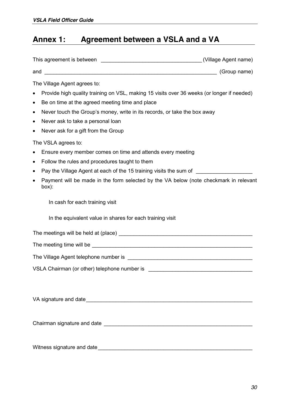## **Annex 1: Agreement between a VSLA and a VA**

| The Village Agent agrees to:<br>Provide high quality training on VSL, making 15 visits over 36 weeks (or longer if needed)<br>$\bullet$<br>Be on time at the agreed meeting time and place<br>$\bullet$<br>Never touch the Group's money, write in its records, or take the box away<br>٠<br>Never ask to take a personal loan<br>٠<br>Never ask for a gift from the Group<br>٠<br>The VSLA agrees to:<br>Ensure every member comes on time and attends every meeting |  |
|-----------------------------------------------------------------------------------------------------------------------------------------------------------------------------------------------------------------------------------------------------------------------------------------------------------------------------------------------------------------------------------------------------------------------------------------------------------------------|--|
| Follow the rules and procedures taught to them<br>٠<br>Pay the Village Agent at each of the 15 training visits the sum of ______________<br>٠                                                                                                                                                                                                                                                                                                                         |  |
| Payment will be made in the form selected by the VA below (note checkmark in relevant<br>$\bullet$<br>box):                                                                                                                                                                                                                                                                                                                                                           |  |
| In cash for each training visit                                                                                                                                                                                                                                                                                                                                                                                                                                       |  |
| In the equivalent value in shares for each training visit                                                                                                                                                                                                                                                                                                                                                                                                             |  |
|                                                                                                                                                                                                                                                                                                                                                                                                                                                                       |  |
| The meeting time will be <b>contained a contained a contained a contact of the meeting time will be a contact of the contact of the contact of the contact of the contact of the contact of the contact of the contact of the co</b>                                                                                                                                                                                                                                  |  |
| The Village Agent telephone number is example to the Village Agent telephone number is                                                                                                                                                                                                                                                                                                                                                                                |  |
| VSLA Chairman (or other) telephone number is                                                                                                                                                                                                                                                                                                                                                                                                                          |  |
|                                                                                                                                                                                                                                                                                                                                                                                                                                                                       |  |
|                                                                                                                                                                                                                                                                                                                                                                                                                                                                       |  |

Witness signature and date\_\_\_\_\_\_\_\_\_\_\_\_\_\_\_\_\_\_\_\_\_\_\_\_\_\_\_\_\_\_\_\_\_\_\_\_\_\_\_\_\_\_\_\_\_\_\_\_\_\_\_\_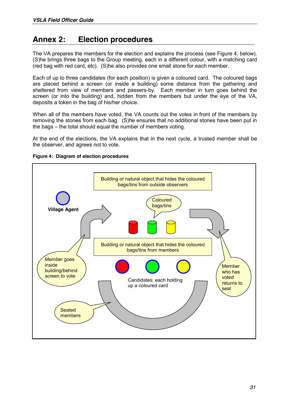## **Annex 2: Election procedures**

The VA prepares the members for the election and explains the process (see Figure 4, below). (S)he brings three bags to the Group meeting, each in a different colour, with a matching card (red bag with red card, etc). (S)he also provides one small stone for each member.

Each of up to three candidates (for each position) is given a coloured card. The coloured bags are placed behind a screen (or inside a building) some distance from the gathering and sheltered from view of members and passers-by. Each member in turn goes behind the screen (or into the building) and, hidden from the members but under the eye of the VA, deposits a token in the bag of his/her choice.

When all of the members have voted, the VA counts out the votes in front of the members by removing the stones from each bag. (S)he ensures that no additional stones have been put in the bags – the total should equal the number of members voting.

At the end of the elections, the VA explains that in the next cycle, a trusted member shall be the observer, and agrees not to vote.



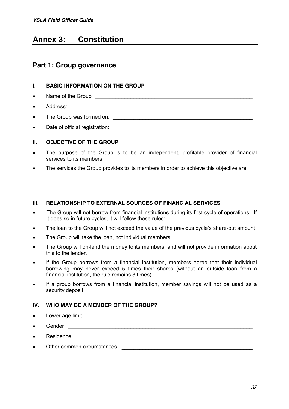## **Annex 3: Constitution**

#### **Part 1: Group governance**

#### **I. BASIC INFORMATION ON THE GROUP**

- Name of the Group **example 20** Name of the Group
- x Address: \_\_\_\_\_\_\_\_\_\_\_\_\_\_\_\_\_\_\_\_\_\_\_\_\_\_\_\_\_\_\_\_\_\_\_\_\_\_\_\_\_\_\_\_\_\_\_\_\_\_\_\_\_\_\_\_\_\_\_\_
- x The Group was formed on: \_\_\_\_\_\_\_\_\_\_\_\_\_\_\_\_\_\_\_\_\_\_\_\_\_\_\_\_\_\_\_\_\_\_\_\_\_\_\_\_\_\_\_\_\_\_\_
- x Date of official registration: \_\_\_\_\_\_\_\_\_\_\_\_\_\_\_\_\_\_\_\_\_\_\_\_\_\_\_\_\_\_\_\_\_\_\_\_\_\_\_\_\_\_\_\_\_\_\_

#### **II. OBJECTIVE OF THE GROUP**

• The purpose of the Group is to be an independent, profitable provider of financial services to its members

\_\_\_\_\_\_\_\_\_\_\_\_\_\_\_\_\_\_\_\_\_\_\_\_\_\_\_\_\_\_\_\_\_\_\_\_\_\_\_\_\_\_\_\_\_\_\_\_\_\_\_\_\_\_\_\_\_\_\_\_\_\_\_\_\_\_\_\_\_

\_\_\_\_\_\_\_\_\_\_\_\_\_\_\_\_\_\_\_\_\_\_\_\_\_\_\_\_\_\_\_\_\_\_\_\_\_\_\_\_\_\_\_\_\_\_\_\_\_\_\_\_\_\_\_\_\_\_\_\_\_\_\_\_\_\_\_\_\_

• The services the Group provides to its members in order to achieve this objective are:

#### **III. RELATIONSHIP TO EXTERNAL SOURCES OF FINANCIAL SERVICES**

- The Group will not borrow from financial institutions during its first cycle of operations. If it does so in future cycles, it will follow these rules:
- The loan to the Group will not exceed the value of the previous cycle's share-out amount
- The Group will take the loan, not individual members.
- The Group will on-lend the money to its members, and will not provide information about this to the lender.
- If the Group borrows from a financial institution, members agree that their individual borrowing may never exceed 5 times their shares (without an outside loan from a financial institution, the rule remains 3 times)
- If a group borrows from a financial institution, member savings will not be used as a security deposit

#### **IV. WHO MAY BE A MEMBER OF THE GROUP?**

- Lower age limit Lower and the state of the state of the state of the state of the state of the state of the state of the state of the state of the state of the state of the state of the state of the state of the state of
- $\bullet$  Gender  $\bullet$
- Residence **and a**
- Other common circumstances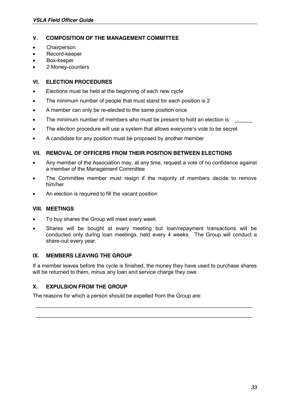#### **V. COMPOSITION OF THE MANAGEMENT COMMITTEE**

- Chairperson
- Record-keeper
- Box-keeper
- 2 Money-counters

#### **VI. ELECTION PROCEDURES**

- Elections must be held at the beginning of each new cycle
- The minimum number of people that must stand for each position is 2
- A member can only be re-elected to the same position once
- The minimum number of members who must be present to hold an election is:
- The election procedure will use a system that allows everyone's vote to be secret
- A candidate for any position must be proposed by another member

#### **VII. REMOVAL OF OFFICERS FROM THEIR POSITION BETWEEN ELECTIONS**

- Any member of the Association may, at any time, request a vote of no confidence against a member of the Management Committee
- The Committee member must resign if the majority of members decide to remove him/her
- An election is required to fill the vacant position

#### **VIII. MEETINGS**

- To buy shares the Group will meet every week
- x Shares will be bought at every meeting but loan/repayment transactions will be conducted only during loan meetings, held every 4 weeks. The Group will conduct a share-out every year.

#### **IX. MEMBERS LEAVING THE GROUP**

If a member leaves before the cycle is finished, the money they have used to purchase shares will be returned to them, minus any loan and service charge they owe

\_\_\_\_\_\_\_\_\_\_\_\_\_\_\_\_\_\_\_\_\_\_\_\_\_\_\_\_\_\_\_\_\_\_\_\_\_\_\_\_\_\_\_\_\_\_\_\_\_\_\_\_\_\_\_\_\_\_\_\_\_\_\_\_\_\_\_\_\_\_\_\_\_

\_\_\_\_\_\_\_\_\_\_\_\_\_\_\_\_\_\_\_\_\_\_\_\_\_\_\_\_\_\_\_\_\_\_\_\_\_\_\_\_\_\_\_\_\_\_\_\_\_\_\_\_\_\_\_\_\_\_\_\_\_\_\_\_\_\_\_\_\_\_\_\_\_

#### **X. EXPULSION FROM THE GROUP**

The reasons for which a person should be expelled from the Group are: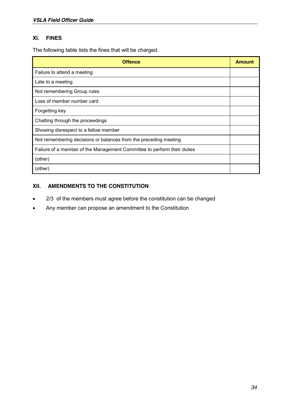#### **XI. FINES**

The following table lists the fines that will be charged.

| Offence                                                                 | <b>Amount</b> |  |  |  |  |
|-------------------------------------------------------------------------|---------------|--|--|--|--|
| Failure to attend a meeting                                             |               |  |  |  |  |
| Late to a meeting                                                       |               |  |  |  |  |
| Not remembering Group rules                                             |               |  |  |  |  |
| Loss of member number card                                              |               |  |  |  |  |
| Forgetting key                                                          |               |  |  |  |  |
| Chatting through the proceedings                                        |               |  |  |  |  |
| Showing disrespect to a fellow member                                   |               |  |  |  |  |
| Not remembering decisions or balances from the preceding meeting        |               |  |  |  |  |
| Failure of a member of the Management Committee to perform their duties |               |  |  |  |  |
| (other)                                                                 |               |  |  |  |  |
| (other)                                                                 |               |  |  |  |  |

#### **XII. AMENDMENTS TO THE CONSTITUTION**

- 2/3 of the members must agree before the constitution can be changed
- Any member can propose an amendment to the Constitution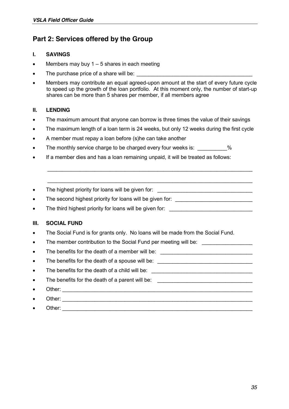### **Part 2: Services offered by the Group**

#### **I. SAVINGS**

- Members may buy  $1 5$  shares in each meeting
- The purchase price of a share will be:
- Members may contribute an equal agreed-upon amount at the start of every future cycle to speed up the growth of the loan portfolio. At this moment only, the number of start-up shares can be more than 5 shares per member, if all members agree

#### **II. LENDING**

- The maximum amount that anyone can borrow is three times the value of their savings
- The maximum length of a loan term is 24 weeks, but only 12 weeks during the first cycle

\_\_\_\_\_\_\_\_\_\_\_\_\_\_\_\_\_\_\_\_\_\_\_\_\_\_\_\_\_\_\_\_\_\_\_\_\_\_\_\_\_\_\_\_\_\_\_\_\_\_\_\_\_\_\_\_\_\_\_\_\_\_\_\_\_\_\_\_\_

\_\_\_\_\_\_\_\_\_\_\_\_\_\_\_\_\_\_\_\_\_\_\_\_\_\_\_\_\_\_\_\_\_\_\_\_\_\_\_\_\_\_\_\_\_\_\_\_\_\_\_\_\_\_\_\_\_\_\_\_\_\_\_\_\_\_\_\_\_

- A member must repay a loan before (s)he can take another
- The monthly service charge to be charged every four weeks is:  $\%$
- If a member dies and has a loan remaining unpaid, it will be treated as follows:

The highest priority for loans will be given for:

The second highest priority for loans will be given for: \_\_\_\_\_\_\_\_\_\_\_\_\_\_\_\_\_\_\_\_\_\_\_

The third highest priority for loans will be given for: \_\_\_\_\_\_\_\_\_\_\_\_\_\_\_\_\_\_\_\_\_\_\_\_

#### **III. SOCIAL FUND**

- The Social Fund is for grants only. No loans will be made from the Social Fund.
- The member contribution to the Social Fund per meeting will be:
- The benefits for the death of a member will be:
- The benefits for the death of a spouse will be:
- The benefits for the death of a child will be:  $\overline{a}$
- The benefits for the death of a parent will be: \_\_\_\_\_\_\_\_\_\_\_\_\_\_\_\_\_\_\_\_\_\_\_\_\_\_\_\_\_\_\_\_
	- Other:  $\Box$
- x Other: \_\_\_\_\_\_\_\_\_\_\_\_\_\_\_\_\_\_\_\_\_\_\_\_\_\_\_\_\_\_\_\_\_\_\_\_\_\_\_\_\_\_\_\_\_\_\_\_\_\_\_\_\_\_\_\_\_\_\_\_\_\_\_\_
- Other:  $\bullet$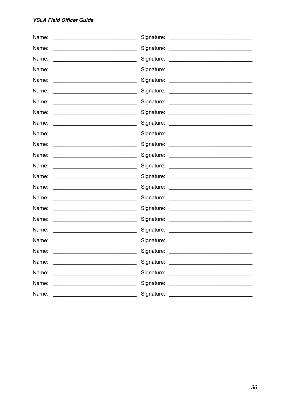| Name:                                                                                                                  | Signature:                                                                                                                                                                                                                           |
|------------------------------------------------------------------------------------------------------------------------|--------------------------------------------------------------------------------------------------------------------------------------------------------------------------------------------------------------------------------------|
|                                                                                                                        |                                                                                                                                                                                                                                      |
| Name:                                                                                                                  | Signature:                                                                                                                                                                                                                           |
| <u> 1989 - Johann John Stein, marwolaeth a bhaile an t-Amhraid ann an t-Amhraid ann an t-Amhraid ann an t-Amhraid </u> | <u> 1989 - Johann Barnett, fransk politiker (d. 1989)</u>                                                                                                                                                                            |
| Name:                                                                                                                  | Signature:                                                                                                                                                                                                                           |
| <u> 1989 - Johann Barn, mars ann an t-Amhair an t-Amhair an t-Amhair an t-Amhair an t-Amhair an t-Amhair an t-Amh</u>  |                                                                                                                                                                                                                                      |
| Name:                                                                                                                  | Signature:                                                                                                                                                                                                                           |
|                                                                                                                        | <u> Alexandria de la contrada de la contrada de la contrada de la contrada de la contrada de la contrada de la c</u>                                                                                                                 |
| Name:                                                                                                                  |                                                                                                                                                                                                                                      |
| Name:                                                                                                                  | Signature:                                                                                                                                                                                                                           |
| <u> 1990 - Johann Barbara, martin amerikan basar da</u>                                                                | <u> Alexandria de la contrada de la contrada de la contrada de la contrada de la contrada de la contrada de la c</u>                                                                                                                 |
| Name:                                                                                                                  | Signature:                                                                                                                                                                                                                           |
|                                                                                                                        | <u> 1980 - Jan Barbara Barbara, manazarta da kasas da kasas da kasas da kasas da kasas da kasas da kasas da kasa</u>                                                                                                                 |
| Name:                                                                                                                  |                                                                                                                                                                                                                                      |
| Name:                                                                                                                  | Signature:                                                                                                                                                                                                                           |
| <u> 1989 - Johann Barbara, martxa alemaniar a</u>                                                                      | <u> 1989 - Johann John Stein, fransk politik (f. 1989)</u>                                                                                                                                                                           |
| Name:                                                                                                                  | Signature:                                                                                                                                                                                                                           |
|                                                                                                                        | <u> Territoria de la contenentación de la contenentación de la contenentación de la contenentación de la contene</u>                                                                                                                 |
| Name:                                                                                                                  |                                                                                                                                                                                                                                      |
| Name:                                                                                                                  | Signature:                                                                                                                                                                                                                           |
| <u> 1990 - Johann John Stone, mars eta bainar eta industrial eta arteko errestan zen.</u>                              | <u> Alexandria de la contrada de la contrada de la contrada de la contrada de la contrada de la contrada de la c</u>                                                                                                                 |
| Name:                                                                                                                  | Signature:                                                                                                                                                                                                                           |
|                                                                                                                        | <u> 1980 - John Stein, mars and de Branch and de Branch and de Branch and de Branch and de Branch and de Branch and de Branch and de Branch and de Branch and de Branch and de Branch and de Branch and de Branch and de Branch </u> |
| Name:                                                                                                                  |                                                                                                                                                                                                                                      |
| Name:                                                                                                                  | Signature:                                                                                                                                                                                                                           |
|                                                                                                                        | <u> Alexandria de la contrada de la contrada de la contrada de la contrada de la contrada de la contrada de la c</u>                                                                                                                 |
| Name:                                                                                                                  | Signature:                                                                                                                                                                                                                           |
| <u> 1990 - Johann John Stoff, mars and de British and de British and de British and de British and de British and </u> | <u> Alexandria de la contrada de la contrada de la contrada de la contrada de la contrada de la contrada de la c</u>                                                                                                                 |
| Name:                                                                                                                  | Signature:                                                                                                                                                                                                                           |
| <u> 1989 - Johann Stoff, deutscher Stoffen und der Stoffen und der Stoffen und der Stoffen und der Stoffen und der</u> |                                                                                                                                                                                                                                      |
| Name:                                                                                                                  | Signature:                                                                                                                                                                                                                           |
|                                                                                                                        | <u> Alexandria de la contrada de la contrada de la contrada de la contrada de la contrada de la contrada de la c</u>                                                                                                                 |
| Name:                                                                                                                  | Signature:                                                                                                                                                                                                                           |
|                                                                                                                        | <u> 1980 - John Stein, mars and de Britain Born Stein Born Stein Born Stein Born Stein Born Stein Born Stein Born Stein Born Stein Born Stein Born Stein Born Stein Born Stein Born Stein Born Stein Born Stein Born Stein Born </u> |
| Name:                                                                                                                  | Signature:<br><u> 1980 - Johann Stein, mars et al. (</u>                                                                                                                                                                             |
| Name:                                                                                                                  | Signature:                                                                                                                                                                                                                           |
| Name:                                                                                                                  | Signature:                                                                                                                                                                                                                           |
| <u> 1989 - Johann Barbara, martxa alemaniar a</u>                                                                      | <u> 1989 - Johann Barbara, martin da basar</u>                                                                                                                                                                                       |
| Name:                                                                                                                  | Signature:                                                                                                                                                                                                                           |
| <u> 1989 - Johann John Stone, mars et al. (</u>                                                                        |                                                                                                                                                                                                                                      |
| Name:                                                                                                                  | Signature:                                                                                                                                                                                                                           |
| <u> 1990 - Johann John Hermer, mars eta bainar</u>                                                                     |                                                                                                                                                                                                                                      |
| Name:                                                                                                                  | Signature:                                                                                                                                                                                                                           |
|                                                                                                                        | <u> 1989 - Johann Barn, mars ann an t-Amhair an t-Amhair an t-Amhair an t-Amhair an t-Amhair an t-Amhair an t-Amh</u>                                                                                                                |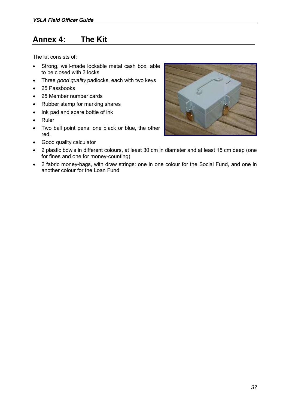## **Annex 4: The Kit**

The kit consists of:

- Strong, well-made lockable metal cash box, able to be closed with 3 locks
- Three *good quality* padlocks, each with two keys
- 25 Passbooks
- 25 Member number cards
- Rubber stamp for marking shares
- Ink pad and spare bottle of ink
- **Ruler**
- Two ball point pens: one black or blue, the other red.
- Good quality calculator



- 2 plastic bowls in different colours, at least 30 cm in diameter and at least 15 cm deep (one for fines and one for money-counting)
- 2 fabric money-bags, with draw strings: one in one colour for the Social Fund, and one in another colour for the Loan Fund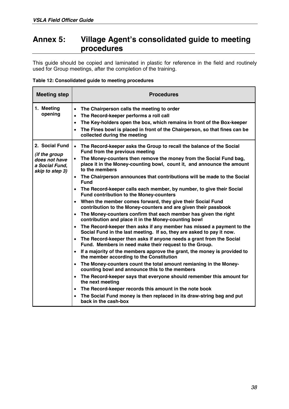## **Annex 5: Village Agent¶s consolidated guide to meeting procedures**

This guide should be copied and laminated in plastic for reference in the field and routinely used for Group meetings, after the completion of the training.

|  |  | Table 12: Consolidated guide to meeting procedures |  |  |  |
|--|--|----------------------------------------------------|--|--|--|
|--|--|----------------------------------------------------|--|--|--|

| <b>Meeting step</b>                                                                          | <b>Procedures</b>                                                                                                                                                                                                                                                                                                                                                                                                                                                                                                                                                                                                                                                                                                                                                                                                                                                                                                                                                                                                                                                                                                                                                                                                                                                                                                                                                                                                                                                                                                                                                                                                                                                                                        |
|----------------------------------------------------------------------------------------------|----------------------------------------------------------------------------------------------------------------------------------------------------------------------------------------------------------------------------------------------------------------------------------------------------------------------------------------------------------------------------------------------------------------------------------------------------------------------------------------------------------------------------------------------------------------------------------------------------------------------------------------------------------------------------------------------------------------------------------------------------------------------------------------------------------------------------------------------------------------------------------------------------------------------------------------------------------------------------------------------------------------------------------------------------------------------------------------------------------------------------------------------------------------------------------------------------------------------------------------------------------------------------------------------------------------------------------------------------------------------------------------------------------------------------------------------------------------------------------------------------------------------------------------------------------------------------------------------------------------------------------------------------------------------------------------------------------|
| 1. Meeting<br>opening                                                                        | The Chairperson calls the meeting to order<br>$\bullet$<br>The Record-keeper performs a roll call<br>$\bullet$<br>The Key-holders open the box, which remains in front of the Box-keeper<br>$\bullet$<br>The Fines bowl is placed in front of the Chairperson, so that fines can be<br>$\bullet$<br>collected during the meeting                                                                                                                                                                                                                                                                                                                                                                                                                                                                                                                                                                                                                                                                                                                                                                                                                                                                                                                                                                                                                                                                                                                                                                                                                                                                                                                                                                         |
| 2. Social Fund<br><i>(if the group</i><br>does not have<br>a Social Fund.<br>skip to step 3) | • The Record-keeper asks the Group to recall the balance of the Social<br>Fund from the previous meeting<br>The Money-counters then remove the money from the Social Fund bag,<br>$\bullet$<br>place it in the Money-counting bowl, count it, and announce the amount<br>to the members<br>The Chairperson announces that contributions will be made to the Social<br>$\bullet$<br><b>Fund</b><br>The Record-keeper calls each member, by number, to give their Social<br>$\bullet$<br>Fund contribution to the Money-counters<br>When the member comes forward, they give their Social Fund<br>$\bullet$<br>contribution to the Money-counters and are given their passbook<br>The Money-counters confirm that each member has given the right<br>$\bullet$<br>contribution and place it in the Money-counting bowl<br>The Record-keeper then asks if any member has missed a payment to the<br>$\bullet$<br>Social Fund in the last meeting. If so, they are asked to pay it now.<br>The Record-keeper then asks if anyone needs a grant from the Social<br>$\bullet$<br>Fund. Members in need make their request to the Group.<br>If a majority of the members approve the grant, the money is provided to<br>$\bullet$<br>the member according to the Constitution<br>The Money-counters count the total amount remianing in the Money-<br>$\bullet$<br>counting bowl and announce this to the members<br>The Record-keeper says that everyone should remember this amount for<br>$\bullet$<br>the next meeting<br>The Record-keeper records this amount in the note book<br>$\bullet$<br>The Social Fund money is then replaced in its draw-string bag and put<br>$\bullet$<br>back in the cash-box |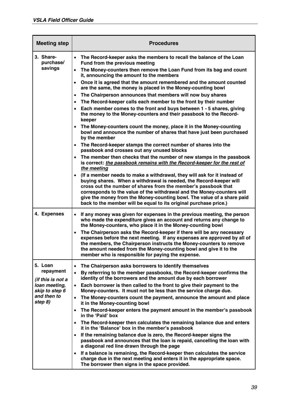| <b>Meeting step</b>                      | <b>Procedures</b>                                                                                                                                                                                                                                                                                                                                                                                                                                                                                                                                                                             |
|------------------------------------------|-----------------------------------------------------------------------------------------------------------------------------------------------------------------------------------------------------------------------------------------------------------------------------------------------------------------------------------------------------------------------------------------------------------------------------------------------------------------------------------------------------------------------------------------------------------------------------------------------|
| 3. Share-<br>purchase/                   | • The Record-keeper asks the members to recall the balance of the Loan<br>Fund from the previous meeting                                                                                                                                                                                                                                                                                                                                                                                                                                                                                      |
| savings                                  | The Money-counters then remove the Loan Fund from its bag and count<br>$\bullet$<br>it, announcing the amount to the members                                                                                                                                                                                                                                                                                                                                                                                                                                                                  |
|                                          | Once it is agreed that the amount remembered and the amount counted<br>$\bullet$<br>are the same, the money is placed in the Money-counting bowl                                                                                                                                                                                                                                                                                                                                                                                                                                              |
|                                          | The Chairperson announces that members will now buy shares<br>$\bullet$                                                                                                                                                                                                                                                                                                                                                                                                                                                                                                                       |
|                                          | The Record-keeper calls each member to the front by their number<br>$\bullet$                                                                                                                                                                                                                                                                                                                                                                                                                                                                                                                 |
|                                          | Each member comes to the front and buys between 1 - 5 shares, giving<br>$\bullet$<br>the money to the Money-counters and their passbook to the Record-<br>keeper                                                                                                                                                                                                                                                                                                                                                                                                                              |
|                                          | The Money-counters count the money, place it in the Money-counting<br>$\bullet$<br>bowl and announce the number of shares that have just been purchased<br>by the member                                                                                                                                                                                                                                                                                                                                                                                                                      |
|                                          | The Record-keeper stamps the correct number of shares into the<br>$\bullet$<br>passbook and crosses out any unused blocks                                                                                                                                                                                                                                                                                                                                                                                                                                                                     |
|                                          | The member then checks that the number of new stamps in the passbook<br>is correct: the passbook remains with the Record-keeper for the rest of<br>the meeting                                                                                                                                                                                                                                                                                                                                                                                                                                |
|                                          | (If a member needs to make a withdrawal, they will ask for it instead of<br>$\bullet$<br>buying shares. When a withdrawal is needed, the Record-keeper will<br>cross out the number of shares from the member's passbook that<br>corresponds to the value of the withdrawal and the Money-counters will<br>give the money from the Money-counting bowl. The value of a share paid<br>back to the member will be equal to its original purchase price.)                                                                                                                                        |
| 4. Expenses                              | If any money was given for expenses in the previous meeting, the person<br>$\bullet$<br>who made the expenditure gives an account and returns any change to<br>the Money-counters, who place it in the Money-counting bowl<br>The Chairperson asks the Record-keeper if there will be any necessary<br>$\bullet$<br>expenses before the next meeting. If any expenses are approved by all of<br>the members, the Chairperson instructs the Money-counters to remove<br>the amount needed from the Money-counting bowl and give it to the<br>member who is responsible for paying the expense. |
| 5. Loan                                  | The Chairperson asks borrowers to identify themselves<br>$\bullet$                                                                                                                                                                                                                                                                                                                                                                                                                                                                                                                            |
| repayment<br>(if this is not a           | By referrring to the member passbooks, the Record-keeper confirms the<br>$\bullet$<br>identity of the borrowers and the amount due by each borrower                                                                                                                                                                                                                                                                                                                                                                                                                                           |
| loan meeting,                            | Each borrower is then called to the front to give their payment to the                                                                                                                                                                                                                                                                                                                                                                                                                                                                                                                        |
| skip to step 6<br>and then to<br>step 8) | Money-counters. It must not be less than the service charge due.<br>The Money-counters count the payment, announce the amount and place<br>$\bullet$                                                                                                                                                                                                                                                                                                                                                                                                                                          |
|                                          | it in the Money-counting bowl<br>The Record-keeper enters the payment amount in the member's passbook<br>$\bullet$<br>in the 'Paid' box                                                                                                                                                                                                                                                                                                                                                                                                                                                       |
|                                          | The Record-keeper then calculates the remaining balance due and enters<br>it in the 'Balance' box in the member's passbook                                                                                                                                                                                                                                                                                                                                                                                                                                                                    |
|                                          | If the remaining balance due is zero, the Record-keeper signs the<br>passbook and announces that the loan is repaid, cancelling the loan with<br>a diagonal red line drawn through the page                                                                                                                                                                                                                                                                                                                                                                                                   |
|                                          | If a balance is remaining, the Record-keeper then calculates the service<br>$\bullet$<br>charge due in the next meeting and enters it in the appropriate space.<br>The borrower then signs in the space provided.                                                                                                                                                                                                                                                                                                                                                                             |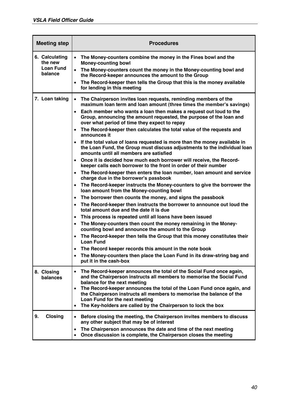| <b>Meeting step</b>                                      | <b>Procedures</b>                                                                                                                                                                                                                                                                                                                                                                                                                                                                                                                                                                                                                                                                                                                                                                                                                                                                                                                                                                                                                                                                                                                                                                                                                                                                                                                                                                                                                                                                                                                                                                                                                                                                                                                                                                                                         |
|----------------------------------------------------------|---------------------------------------------------------------------------------------------------------------------------------------------------------------------------------------------------------------------------------------------------------------------------------------------------------------------------------------------------------------------------------------------------------------------------------------------------------------------------------------------------------------------------------------------------------------------------------------------------------------------------------------------------------------------------------------------------------------------------------------------------------------------------------------------------------------------------------------------------------------------------------------------------------------------------------------------------------------------------------------------------------------------------------------------------------------------------------------------------------------------------------------------------------------------------------------------------------------------------------------------------------------------------------------------------------------------------------------------------------------------------------------------------------------------------------------------------------------------------------------------------------------------------------------------------------------------------------------------------------------------------------------------------------------------------------------------------------------------------------------------------------------------------------------------------------------------------|
| 6. Calculating<br>the new<br><b>Loan Fund</b><br>balance | The Money-counters combine the money in the Fines bowl and the<br>$\bullet$<br><b>Money-counting bowl</b><br>The Money-counters count the money in the Money-counting bowl and<br>$\bullet$<br>the Record-keeper announces the amount to the Group<br>The Record-keeper then tells the Group that this is the money available<br>$\bullet$<br>for lending in this meeting                                                                                                                                                                                                                                                                                                                                                                                                                                                                                                                                                                                                                                                                                                                                                                                                                                                                                                                                                                                                                                                                                                                                                                                                                                                                                                                                                                                                                                                 |
| 7. Loan taking                                           | The Chairperson invites loan requests, reminding members of the<br>$\bullet$<br>maximum loan term and loan amount (three times the member's savings)<br>Each member who wants a loan then makes a request out loud to the<br>$\bullet$<br>Group, announcing the amount requested, the purpose of the loan and<br>over what period of time they expect to repay<br>The Record-keeper then calculates the total value of the requests and<br>$\bullet$<br>announces it<br>If the total value of loans requested is more than the money available in<br>the Loan Fund, the Group must discuss adjustments to the individual loan<br>amounts until all members are satisfied<br>Once it is decided how much each borrower will receive, the Record-<br>$\bullet$<br>keeper calls each borrower to the front in order of their number<br>The Record-keeper then enters the loan number, loan amount and service<br>$\bullet$<br>charge due in the borrower's passbook<br>The Record-keeper instructs the Money-counters to give the borrower the<br>$\bullet$<br>loan amount from the Money-counting bowl<br>The borrower then counts the money, and signs the passbook<br>$\bullet$<br>The Record-keeper then instructs the borrower to announce out loud the<br>$\bullet$<br>total amount due and the date it is due<br>This process is repeated until all loans have been issued<br>$\bullet$<br>The Money-counters then count the money remaining in the Money-<br>$\bullet$<br>counting bowl and announce the amount to the Group<br>The Record-keeper then tells the Group that this money constitutes their<br>$\bullet$<br><b>Loan Fund</b><br>The Record keeper records this amount in the note book<br>$\bullet$<br>The Money-counters then place the Loan Fund in its draw-string bag and<br>put it in the cash-box |
| 8. Closing<br><b>balances</b>                            | The Record-keeper announces the total of the Social Fund once again,<br>$\bullet$<br>and the Chairperson instructs all members to memorise the Social Fund<br>balance for the next meeting<br>The Record-keeper announces the total of the Loan Fund once again, and<br>$\bullet$<br>the Chairperson instructs all members to memorise the balance of the<br>Loan Fund for the next meeting<br>The Key-holders are called by the Chairperson to lock the box<br>$\bullet$                                                                                                                                                                                                                                                                                                                                                                                                                                                                                                                                                                                                                                                                                                                                                                                                                                                                                                                                                                                                                                                                                                                                                                                                                                                                                                                                                 |
| 9.<br><b>Closing</b>                                     | Before closing the meeting, the Chairperson invites members to discuss<br>$\bullet$<br>any other subject that may be of interest<br>The Chairperson announces the date and time of the next meeting<br>$\bullet$<br>Once discussion is complete, the Chairperson closes the meeting<br>٠                                                                                                                                                                                                                                                                                                                                                                                                                                                                                                                                                                                                                                                                                                                                                                                                                                                                                                                                                                                                                                                                                                                                                                                                                                                                                                                                                                                                                                                                                                                                  |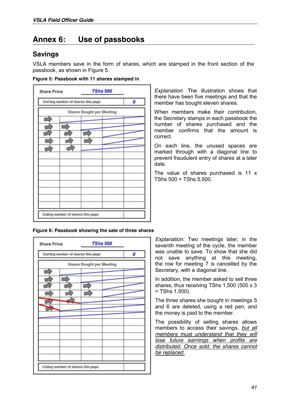## **Annex 6: Use of passbooks**

#### **Savings**

VSLA members save in the form of shares, which are stamped in the front section of the passbook, as shown in Figure 5.

|  |  |  |  |  |  | Figure 5: Passbook with 11 shares stamped in |
|--|--|--|--|--|--|----------------------------------------------|
|--|--|--|--|--|--|----------------------------------------------|

|  | Starting number of shares this page | 0 |
|--|-------------------------------------|---|
|  | <b>Shares Bought per Meeting</b>    |   |
|  |                                     |   |
|  |                                     |   |
|  |                                     |   |
|  |                                     |   |
|  |                                     |   |
|  |                                     |   |
|  |                                     |   |
|  |                                     |   |
|  |                                     |   |
|  |                                     |   |
|  |                                     |   |
|  |                                     |   |

*Explanation*: The illustration shows that there have been five meetings and that the member has bought eleven shares.

When members make their contribution, the Secretary stamps in each passbook the number of shares purchased and the member confirms that the amount is correct.

On each line, the unused spaces are marked through with a diagonal line to prevent fraudulent entry of shares at a later date.

The value of shares purchased is 11 x TShs 500 = TShs 5,500.

#### **Figure 6: Passbook showing the sale of three shares**

| Starting number of shares this page | 0 |
|-------------------------------------|---|
| <b>Shares Bought per Meeting</b>    |   |
|                                     |   |
|                                     |   |
|                                     |   |
|                                     |   |
|                                     |   |
|                                     |   |
|                                     |   |
|                                     |   |
|                                     |   |
|                                     |   |
|                                     |   |
|                                     |   |

*Explanation:* Two meetings later, in the seventh meeting of the cycle, the member was unable to save. To show that she did not save anything at this meeting, the row for meeting 7 is cancelled by the Secretary, with a diagonal line.

In addition, the member asked to sell three shares, thus receiving TShs 1,500 (500 x 3 = TShs 1,500).

The three shares she bought in meetings 5 and 6 are deleted, using a red pen, and the money is paid to the member.

The possibility of selling shares allows members to access their savings, *but all members must understand that they will lose future earnings when profits are distributed. Once sold, the shares cannot be replaced.*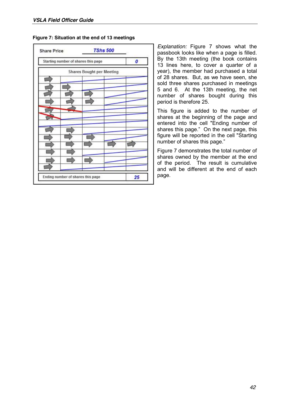| <b>Share Price</b>                  | <b>TShs 500</b>                  |    |
|-------------------------------------|----------------------------------|----|
| Starting number of shares this page |                                  | 0  |
|                                     | <b>Shares Bought per Meeting</b> |    |
|                                     |                                  |    |
|                                     |                                  |    |
|                                     |                                  |    |
|                                     |                                  |    |
|                                     |                                  |    |
|                                     |                                  |    |
|                                     |                                  |    |
|                                     |                                  |    |
| Ending number of shares this page   |                                  | 25 |

*Explanation:* Figure 7 shows what the passbook looks like when a page is filled. By the 13th meeting (the book contains 13 lines here, to cover a quarter of a year), the member had purchased a total of 28 shares. But, as we have seen, she sold three shares purchased in meetings 5 and 6. At the 13th meeting, the net number of shares bought during this period is therefore 25.

This figure is added to the number of shares at the beginning of the page and entered into the cell "Ending number of shares this page." On the next page, this figure will be reported in the cell "Starting number of shares this page."

Figure 7 demonstrates the total number of shares owned by the member at the end of the period. The result is cumulative and will be different at the end of each page.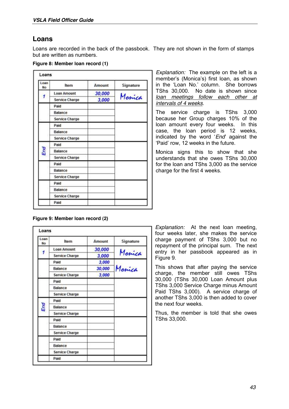#### **Loans**

Loans are recorded in the back of the passbook. They are not shown in the form of stamps but are written as numbers.

|  |  | Figure 8: Member Ioan record (1) |  |  |  |  |
|--|--|----------------------------------|--|--|--|--|
|--|--|----------------------------------|--|--|--|--|

| Loan<br>No. | ltem               | Amount | Signature |
|-------------|--------------------|--------|-----------|
|             | <b>Loan Amount</b> | 30,000 |           |
| 1           | Service Charge     | 3,000  | Monica    |
|             | Paid               |        |           |
|             | Balance            |        |           |
|             | Service Charge     |        |           |
|             | Paid               |        |           |
|             | Balance            |        |           |
|             | Service Charge     |        |           |
|             | Paid               |        |           |
| End         | Balance            |        |           |
|             | Service Charge     |        |           |
|             | Paid               |        |           |
|             | Balance            |        |           |
|             | Service Charge     |        |           |
|             | Paid               |        |           |
|             | Balance            |        |           |
|             | Service Charge     |        |           |
|             | Paid               |        |           |

*Explanation:* The example on the left is a member's (Monica's) first loan, as shown in the 'Loan No.' column. She borrows TShs 30,000. No date is shown since *loan meetings follow each other at intervals of 4 weeks*.

The service charge is TShs 3,000 because her Group charges 10% of the loan amount every four weeks. In this case, the loan period is 12 weeks, indicated by the word '*End*' against the 'Paid' row, 12 weeks in the future.

Monica signs this to show that she understands that she owes TShs 30,000 for the loan and TShs 3,000 as the service charge for the first 4 weeks.

#### **Figure 9: Member loan record (2)**

| Loan<br>No. | ltem                  | Amount | Signature |  |
|-------------|-----------------------|--------|-----------|--|
|             | Loan Amount           | 30,000 |           |  |
|             | Service Charge        | 3,000  | Monica    |  |
|             | <b>Paid</b>           | 3,000  | Monica    |  |
|             | Balance               | 30,000 |           |  |
|             | Service Charge        | 3,000  |           |  |
|             | Paid                  |        |           |  |
|             | Balance               |        |           |  |
|             | Service Charge        |        |           |  |
|             | Paid                  |        |           |  |
| End         | Balance               |        |           |  |
|             | <b>Service Charge</b> |        |           |  |
|             | Paid                  |        |           |  |
|             | Balance               |        |           |  |
|             | Service Charge        |        |           |  |
|             | Paid                  |        |           |  |
|             | Balance               |        |           |  |
|             | Service Charge        |        |           |  |
|             | Paid                  |        |           |  |

*Explanation:* At the next loan meeting, four weeks later, she makes the service charge payment of TShs 3,000 but no repayment of the principal sum. The next entry in her passbook appeared as in Figure 9.

This shows that after paying the service charge, the member still owes TShs 30,000 (TShs 30,000 Loan Amount plus TShs 3,000 Service Charge minus Amount Paid TShs 3,000). A service charge of another TShs 3,000 is then added to cover the next four weeks.

Thus, the member is told that she owes TShs 33,000.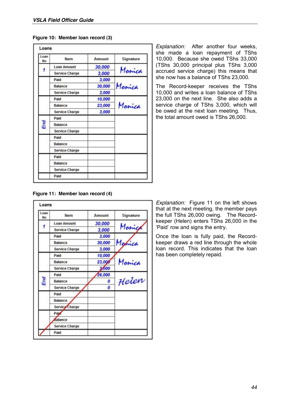| Figure 10: Member Ioan record (3) |  |  |  |  |
|-----------------------------------|--|--|--|--|
|-----------------------------------|--|--|--|--|

| Loan<br>No. | ltem                  | Amount | Signature |  |  |
|-------------|-----------------------|--------|-----------|--|--|
|             | <b>Loan Amount</b>    | 30,000 |           |  |  |
|             | <b>Service Charge</b> | 3,000  | Monica    |  |  |
|             | Paid                  | 3,000  |           |  |  |
|             | Balance               | 30,000 | Marrica   |  |  |
|             | Service Charge        | 3,000  |           |  |  |
|             | Paid                  | 10,000 | Marrica   |  |  |
|             | Balance               | 23,000 |           |  |  |
|             | Service Charge        | 3,000  |           |  |  |
|             | Paid                  |        |           |  |  |
| End         | Balance               |        |           |  |  |
|             | Service Charge        |        |           |  |  |
|             | Paid                  |        |           |  |  |
|             | Balance               |        |           |  |  |
|             | Service Charge        |        |           |  |  |
|             | Paid                  |        |           |  |  |
|             | Balance               |        |           |  |  |
|             | Service Charge        |        |           |  |  |
|             | Paid                  |        |           |  |  |

*Explanation:* After another four weeks, she made a loan repayment of TShs 10,000. Because she owed TShs 33,000 (TShs 30,000 principal plus TShs 3,000 accrued service charge) this means that she now has a balance of TShs 23,000.

The Record-keeper receives the TShs 10,000 and writes a loan balance of TShs 23,000 on the next line. She also adds a service charge of TShs 3,000, which will be owed at the next loan meeting. Thus, the total amount owed is TShs 26,000.

| Figure 11: Member Ioan record (4) |  |  |  |  |
|-----------------------------------|--|--|--|--|
|-----------------------------------|--|--|--|--|

| Loan<br>No. | ltem                  | Amount | Signature |  |
|-------------|-----------------------|--------|-----------|--|
|             | <b>Loan Amount</b>    | 30,000 |           |  |
| 1           | Service Charge        | 3,000  | Monice    |  |
|             | Paid                  | 3,000  |           |  |
|             | Balance               | 30,000 | Marica    |  |
|             | Service Charge        | 3,000  |           |  |
|             | Paid                  | 10,000 |           |  |
|             | Balance               | 23,000 | Monica    |  |
|             | Service Charge        | 3,000  |           |  |
|             | Paid                  | 26,000 |           |  |
| End         | Balance               | 0      | Helen     |  |
|             | <b>Service Charge</b> | 0      |           |  |
|             | Paid                  |        |           |  |
|             | Balance               |        |           |  |
|             | Service Charge        |        |           |  |
|             | Paid                  |        |           |  |
|             | dalance               |        |           |  |
|             | Service Charge        |        |           |  |
|             | Paid                  |        |           |  |

*Explanation:* Figure 11 on the left shows that at the next meeting, the member pays the full TShs 26,000 owing. The Recordkeeper (Helen) enters TShs 26,000 in the 'Paid' row and signs the entry.

Once the loan is fully paid, the Recordkeeper draws a red line through the whole loan record. This indicates that the loan has been completely repaid.